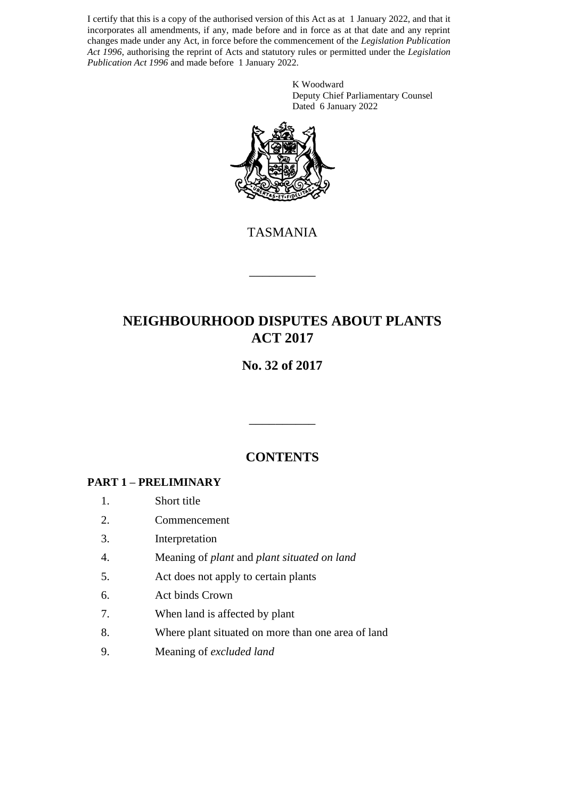I certify that this is a copy of the authorised version of this Act as at 1 January 2022, and that it incorporates all amendments, if any, made before and in force as at that date and any reprint changes made under any Act, in force before the commencement of the *Legislation Publication Act 1996*, authorising the reprint of Acts and statutory rules or permitted under the *Legislation Publication Act 1996* and made before 1 January 2022.

> K Woodward Deputy Chief Parliamentary Counsel Dated 6 January 2022



TASMANIA

\_\_\_\_\_\_\_\_\_\_

# **NEIGHBOURHOOD DISPUTES ABOUT PLANTS ACT 2017**

# **No. 32 of 2017**

## **CONTENTS**

\_\_\_\_\_\_\_\_\_\_

### **PART 1 – PRELIMINARY**

- 1. Short title
- 2. Commencement
- 3. Interpretation
- 4. Meaning of *plant* and *plant situated on land*
- 5. Act does not apply to certain plants
- 6. Act binds Crown
- 7. When land is affected by plant
- 8. Where plant situated on more than one area of land
- 9. Meaning of *excluded land*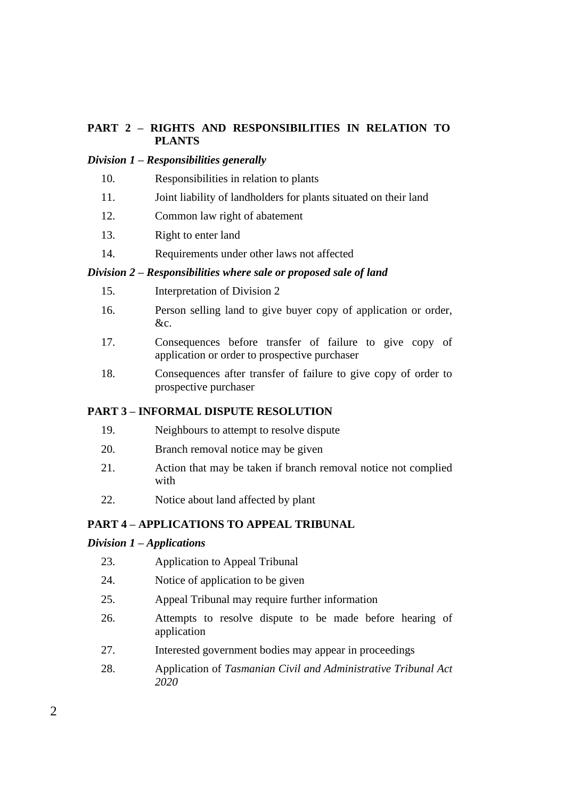### **PART 2 – RIGHTS AND RESPONSIBILITIES IN RELATION TO PLANTS**

#### *Division 1 – Responsibilities generally*

- 10. Responsibilities in relation to plants
- 11. Joint liability of landholders for plants situated on their land
- 12. Common law right of abatement
- 13. Right to enter land
- 14. Requirements under other laws not affected

#### *Division 2 – Responsibilities where sale or proposed sale of land*

- 15. Interpretation of Division 2
- 16. Person selling land to give buyer copy of application or order, &c.
- 17. Consequences before transfer of failure to give copy of application or order to prospective purchaser
- 18. Consequences after transfer of failure to give copy of order to prospective purchaser

### **PART 3 – INFORMAL DISPUTE RESOLUTION**

- 19. Neighbours to attempt to resolve dispute
- 20. Branch removal notice may be given
- 21. Action that may be taken if branch removal notice not complied with
- 22. Notice about land affected by plant

### **PART 4 – APPLICATIONS TO APPEAL TRIBUNAL**

#### *Division 1 – Applications*

- 23. Application to Appeal Tribunal
- 24. Notice of application to be given
- 25. Appeal Tribunal may require further information
- 26. Attempts to resolve dispute to be made before hearing of application
- 27. Interested government bodies may appear in proceedings
- 28. Application of *Tasmanian Civil and Administrative Tribunal Act 2020*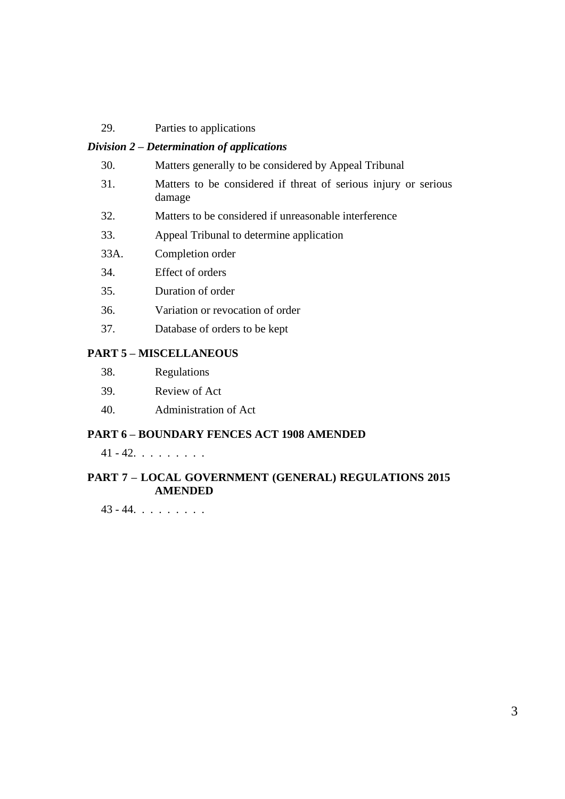29. Parties to applications

#### *Division 2 – Determination of applications*

- 30. Matters generally to be considered by Appeal Tribunal
- 31. Matters to be considered if threat of serious injury or serious damage
- 32. Matters to be considered if unreasonable interference
- 33. Appeal Tribunal to determine application
- 33A. Completion order
- 34. Effect of orders
- 35. Duration of order
- 36. Variation or revocation of order
- 37. Database of orders to be kept

### **PART 5 – MISCELLANEOUS**

| 38. | Regulations |
|-----|-------------|
|-----|-------------|

- 39. Review of Act
- 40. Administration of Act

#### **PART 6 – BOUNDARY FENCES ACT 1908 AMENDED**

 $41 - 42. . . . . . . .$ 

### **PART 7 – LOCAL GOVERNMENT (GENERAL) REGULATIONS 2015 AMENDED**

43 - 44. . . . . . . . .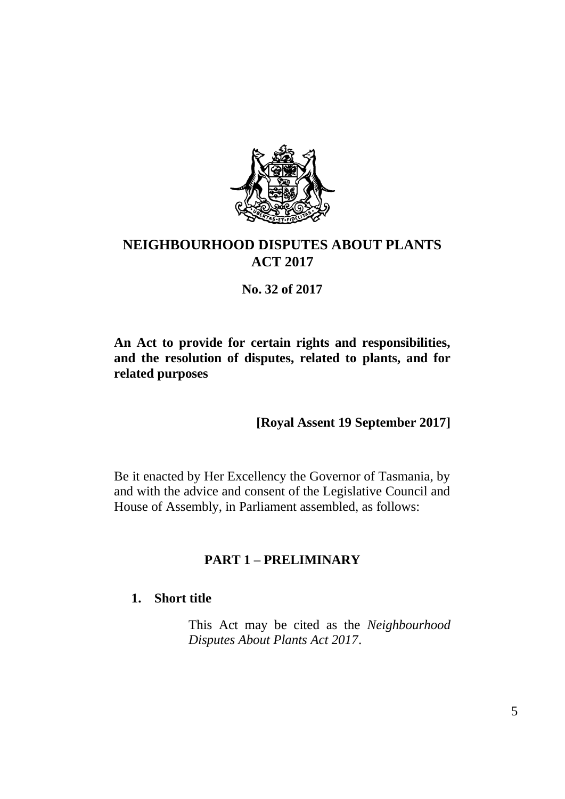

# **NEIGHBOURHOOD DISPUTES ABOUT PLANTS ACT 2017**

**No. 32 of 2017**

**An Act to provide for certain rights and responsibilities, and the resolution of disputes, related to plants, and for related purposes**

**[Royal Assent 19 September 2017]**

Be it enacted by Her Excellency the Governor of Tasmania, by and with the advice and consent of the Legislative Council and House of Assembly, in Parliament assembled, as follows:

## **PART 1 – PRELIMINARY**

## **1. Short title**

This Act may be cited as the *Neighbourhood Disputes About Plants Act 2017*.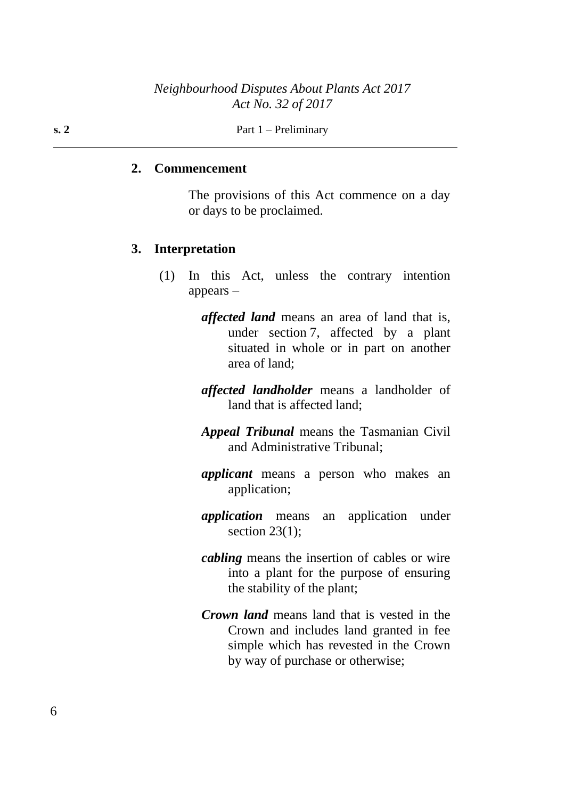**s. 2** Part  $1 -$  Preliminary

#### **2. Commencement**

The provisions of this Act commence on a day or days to be proclaimed.

### **3. Interpretation**

- (1) In this Act, unless the contrary intention appears –
	- *affected land* means an area of land that is, under section 7, affected by a plant situated in whole or in part on another area of land;
	- *affected landholder* means a landholder of land that is affected land;
	- *Appeal Tribunal* means the Tasmanian Civil and Administrative Tribunal;
	- *applicant* means a person who makes an application;
	- *application* means an application under section  $23(1)$ ;
	- *cabling* means the insertion of cables or wire into a plant for the purpose of ensuring the stability of the plant;
	- *Crown land* means land that is vested in the Crown and includes land granted in fee simple which has revested in the Crown by way of purchase or otherwise;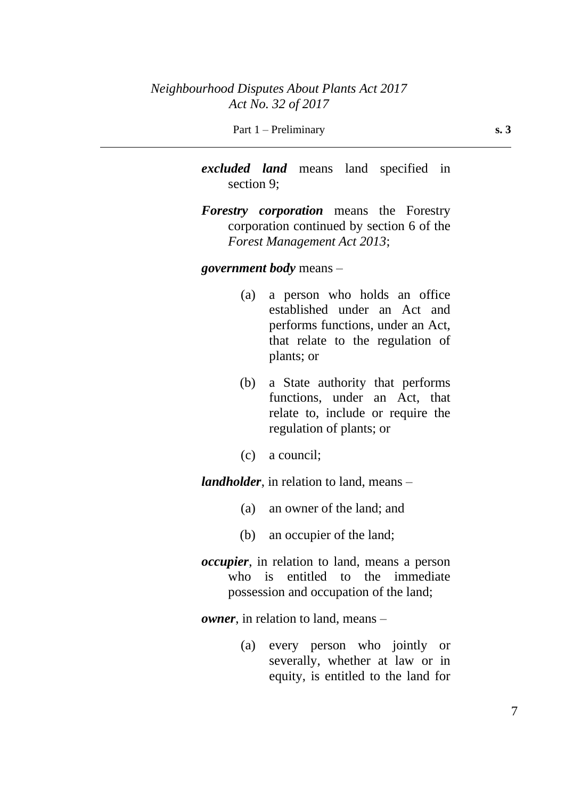*excluded land* means land specified in section 9;

*Forestry corporation* means the Forestry corporation continued by section 6 of the *Forest Management Act 2013*;

#### *government body* means –

- (a) a person who holds an office established under an Act and performs functions, under an Act, that relate to the regulation of plants; or
- (b) a State authority that performs functions, under an Act, that relate to, include or require the regulation of plants; or
- (c) a council;

*landholder*, in relation to land, means –

- (a) an owner of the land; and
- (b) an occupier of the land;
- *occupier*, in relation to land, means a person who is entitled to the immediate possession and occupation of the land;

*owner*, in relation to land, means –

(a) every person who jointly or severally, whether at law or in equity, is entitled to the land for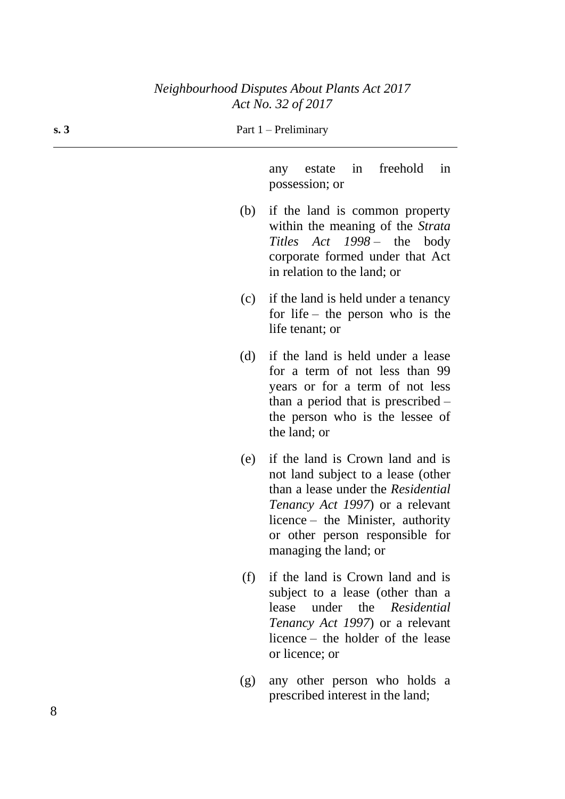| s. 3 |     | Part $1$ – Preliminary                                                                                                                                                                                                                                   |
|------|-----|----------------------------------------------------------------------------------------------------------------------------------------------------------------------------------------------------------------------------------------------------------|
|      |     | freehold<br>in<br>estate<br>in<br>any<br>possession; or                                                                                                                                                                                                  |
|      | (b) | if the land is common property<br>within the meaning of the Strata<br>Titles Act 1998 – the body<br>corporate formed under that Act<br>in relation to the land; or                                                                                       |
|      | (c) | if the land is held under a tenancy<br>for life – the person who is the<br>life tenant; or                                                                                                                                                               |
|      | (d) | if the land is held under a lease<br>for a term of not less than 99<br>years or for a term of not less<br>than a period that is prescribed $-$<br>the person who is the lessee of<br>the land; or                                                        |
|      | (e) | if the land is Crown land and is<br>not land subject to a lease (other<br>than a lease under the Residential<br><i>Tenancy Act 1997</i> ) or a relevant<br>licence – the Minister, authority<br>or other person responsible for<br>managing the land; or |
|      | (f) | if the land is Crown land and is<br>subject to a lease (other than a<br>under the <i>Residential</i><br>lease<br><i>Tenancy Act 1997</i> ) or a relevant<br>licence – the holder of the lease<br>or licence; or                                          |
|      | (g) | any other person who holds a<br>prescribed interest in the land;                                                                                                                                                                                         |

 $\overline{\phantom{0}}$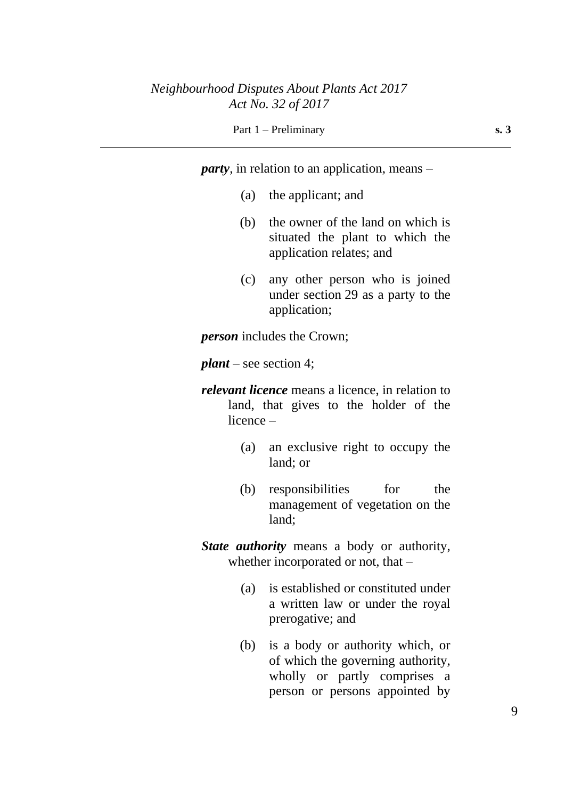*party*, in relation to an application, means –

- (a) the applicant; and
- (b) the owner of the land on which is situated the plant to which the application relates; and
- (c) any other person who is joined under section 29 as a party to the application;

*person* includes the Crown;

*plant* – see section 4;

- *relevant licence* means a licence, in relation to land, that gives to the holder of the licence –
	- (a) an exclusive right to occupy the land; or
	- (b) responsibilities for the management of vegetation on the land;

*State authority* means a body or authority, whether incorporated or not, that –

- (a) is established or constituted under a written law or under the royal prerogative; and
- (b) is a body or authority which, or of which the governing authority, wholly or partly comprises a person or persons appointed by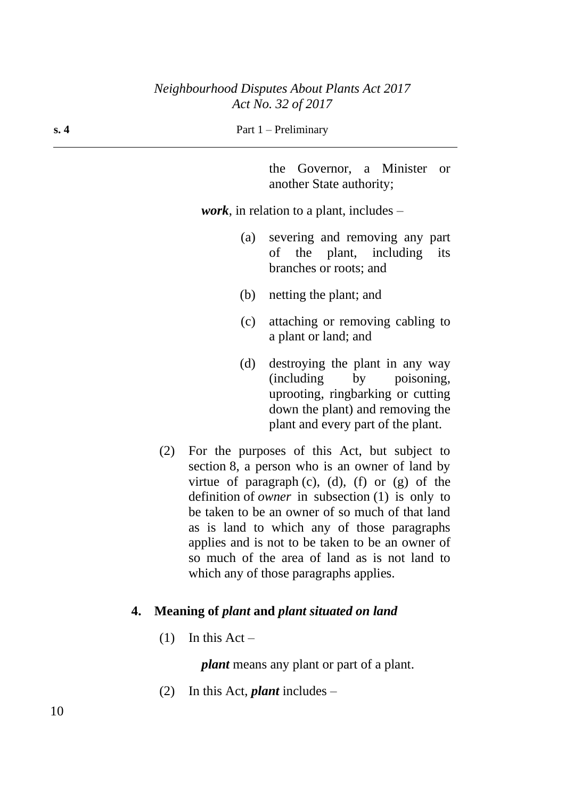**s. 4** Part 1 – Preliminary

the Governor, a Minister or another State authority;

*work*, in relation to a plant, includes –

- (a) severing and removing any part of the plant, including its branches or roots; and
- (b) netting the plant; and
- (c) attaching or removing cabling to a plant or land; and
- (d) destroying the plant in any way (including by poisoning, uprooting, ringbarking or cutting down the plant) and removing the plant and every part of the plant.
- (2) For the purposes of this Act, but subject to section 8, a person who is an owner of land by virtue of paragraph  $(c)$ ,  $(d)$ ,  $(f)$  or  $(g)$  of the definition of *owner* in subsection (1) is only to be taken to be an owner of so much of that land as is land to which any of those paragraphs applies and is not to be taken to be an owner of so much of the area of land as is not land to which any of those paragraphs applies.

### **4. Meaning of** *plant* **and** *plant situated on land*

(1) In this Act –

*plant* means any plant or part of a plant.

(2) In this Act, *plant* includes –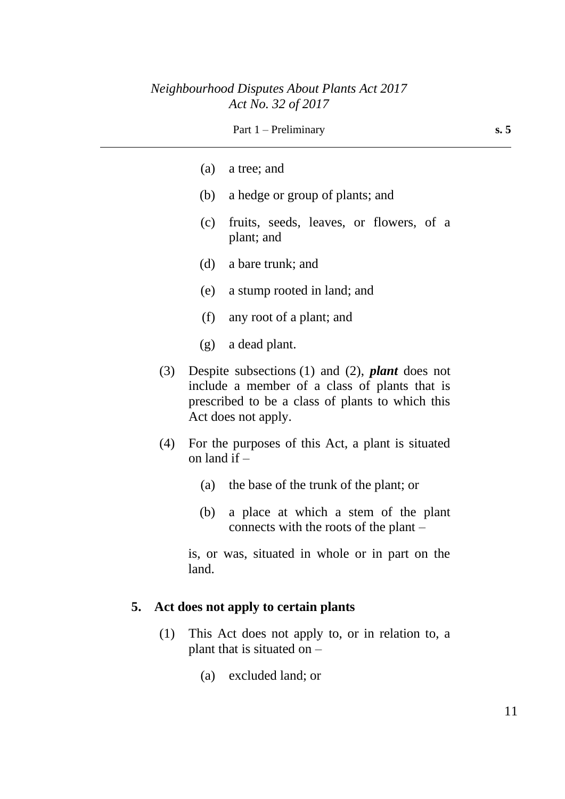|     |                | Part $1$ – Preliminary                                                                                                                                                                  | s. 5 |
|-----|----------------|-----------------------------------------------------------------------------------------------------------------------------------------------------------------------------------------|------|
|     | (a)            | a tree; and                                                                                                                                                                             |      |
|     | (b)            | a hedge or group of plants; and                                                                                                                                                         |      |
|     | (c)            | fruits, seeds, leaves, or flowers, of a<br>plant; and                                                                                                                                   |      |
|     | (d)            | a bare trunk; and                                                                                                                                                                       |      |
|     | (e)            | a stump rooted in land; and                                                                                                                                                             |      |
|     | (f)            | any root of a plant; and                                                                                                                                                                |      |
|     | (g)            | a dead plant.                                                                                                                                                                           |      |
| (3) |                | Despite subsections $(1)$ and $(2)$ , <i>plant</i> does not<br>include a member of a class of plants that is<br>prescribed to be a class of plants to which this<br>Act does not apply. |      |
| (4) | on land if $-$ | For the purposes of this Act, a plant is situated                                                                                                                                       |      |
|     | (a)            | the base of the trunk of the plant; or                                                                                                                                                  |      |
|     | (b)            | a place at which a stem of the plant<br>connects with the roots of the plant –                                                                                                          |      |
|     |                |                                                                                                                                                                                         |      |

is, or was, situated in whole or in part on the land.

## **5. Act does not apply to certain plants**

- (1) This Act does not apply to, or in relation to, a plant that is situated on –
	- (a) excluded land; or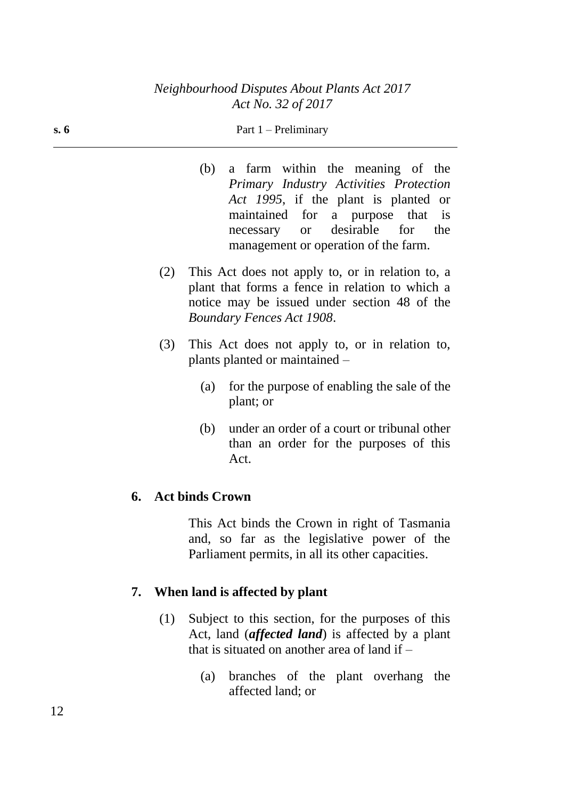#### **s. 6** Part 1 – Preliminary

- (b) a farm within the meaning of the *Primary Industry Activities Protection Act 1995*, if the plant is planted or maintained for a purpose that is necessary or desirable for the management or operation of the farm.
- (2) This Act does not apply to, or in relation to, a plant that forms a fence in relation to which a notice may be issued under section 48 of the *Boundary Fences Act 1908*.
- (3) This Act does not apply to, or in relation to, plants planted or maintained –
	- (a) for the purpose of enabling the sale of the plant; or
	- (b) under an order of a court or tribunal other than an order for the purposes of this Act.

### **6. Act binds Crown**

This Act binds the Crown in right of Tasmania and, so far as the legislative power of the Parliament permits, in all its other capacities.

### **7. When land is affected by plant**

- (1) Subject to this section, for the purposes of this Act, land (*affected land*) is affected by a plant that is situated on another area of land if –
	- (a) branches of the plant overhang the affected land; or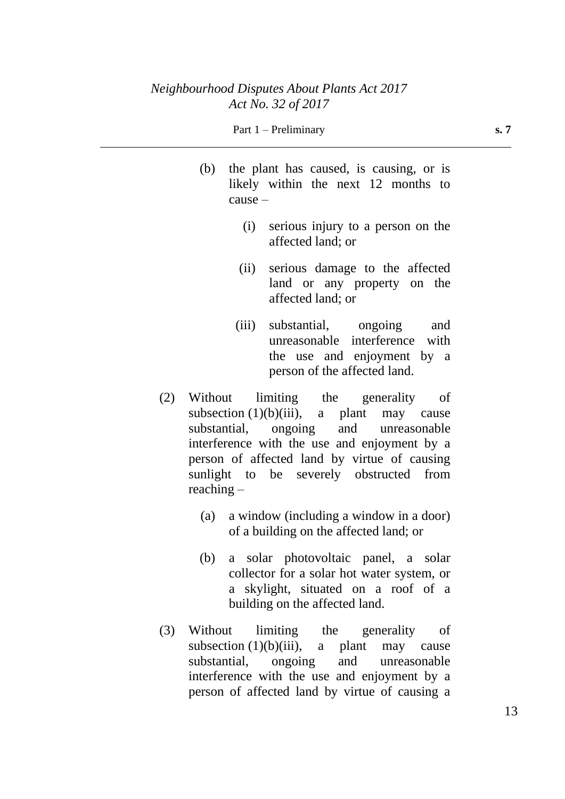#### Part 1 – Preliminary **s. 7**

- (b) the plant has caused, is causing, or is likely within the next 12 months to cause –
	- (i) serious injury to a person on the affected land; or
	- (ii) serious damage to the affected land or any property on the affected land; or
	- (iii) substantial, ongoing and unreasonable interference with the use and enjoyment by a person of the affected land.
- (2) Without limiting the generality of subsection  $(1)(b)(iii)$ , a plant may cause substantial, ongoing and unreasonable interference with the use and enjoyment by a person of affected land by virtue of causing sunlight to be severely obstructed from reaching –
	- (a) a window (including a window in a door) of a building on the affected land; or
	- (b) a solar photovoltaic panel, a solar collector for a solar hot water system, or a skylight, situated on a roof of a building on the affected land.
- (3) Without limiting the generality of subsection  $(1)(b)(iii)$ , a plant may cause substantial, ongoing and unreasonable interference with the use and enjoyment by a person of affected land by virtue of causing a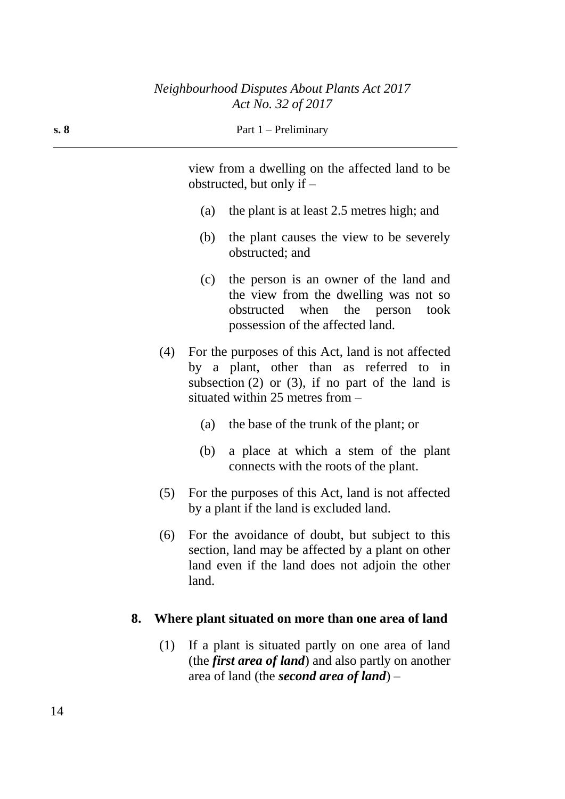| s. 8 |     | Part $1$ – Preliminary                                                                                                                                                                          |  |  |  |
|------|-----|-------------------------------------------------------------------------------------------------------------------------------------------------------------------------------------------------|--|--|--|
|      |     | view from a dwelling on the affected land to be<br>obstructed, but only if $-$                                                                                                                  |  |  |  |
|      |     | the plant is at least 2.5 metres high; and<br>(a)                                                                                                                                               |  |  |  |
|      |     | the plant causes the view to be severely<br>(b)<br>obstructed; and                                                                                                                              |  |  |  |
|      |     | the person is an owner of the land and<br>(c)<br>the view from the dwelling was not so<br>obstructed when the person<br>took<br>possession of the affected land.                                |  |  |  |
|      | (4) | For the purposes of this Act, land is not affected<br>by a plant, other than as referred to in<br>subsection $(2)$ or $(3)$ , if no part of the land is<br>situated within $25$ metres from $-$ |  |  |  |
|      |     | the base of the trunk of the plant; or<br>(a)                                                                                                                                                   |  |  |  |
|      |     | a place at which a stem of the plant<br>(b)<br>connects with the roots of the plant.                                                                                                            |  |  |  |
|      | (5) | For the purposes of this Act, land is not affected<br>by a plant if the land is excluded land.                                                                                                  |  |  |  |
|      | (6) | For the avoidance of doubt, but subject to this<br>section, land may be affected by a plant on other<br>land even if the land does not adjoin the other<br>land.                                |  |  |  |
| 8.   |     | Where plant situated on more than one area of land                                                                                                                                              |  |  |  |
|      |     |                                                                                                                                                                                                 |  |  |  |

(1) If a plant is situated partly on one area of land (the *first area of land*) and also partly on another area of land (the *second area of land*) –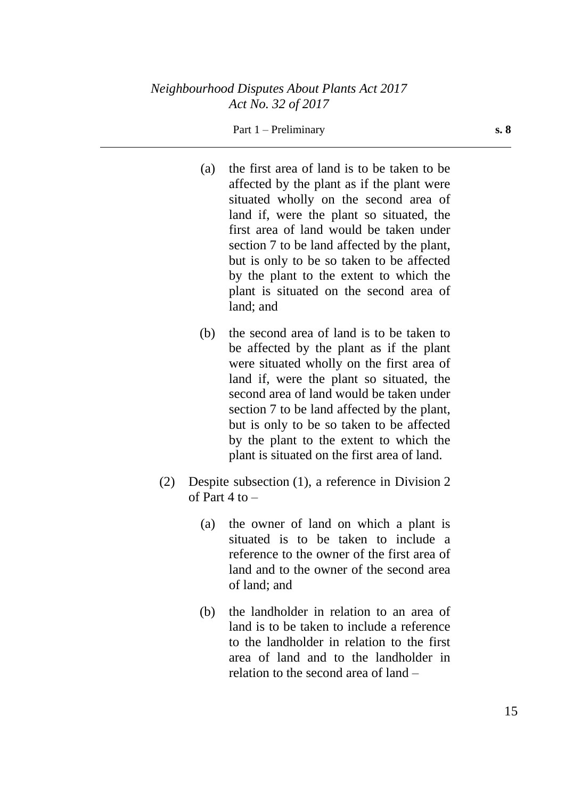### Part 1 – Preliminary **s. 8**

- (a) the first area of land is to be taken to be affected by the plant as if the plant were situated wholly on the second area of land if, were the plant so situated, the first area of land would be taken under section 7 to be land affected by the plant, but is only to be so taken to be affected by the plant to the extent to which the plant is situated on the second area of land; and
- (b) the second area of land is to be taken to be affected by the plant as if the plant were situated wholly on the first area of land if, were the plant so situated, the second area of land would be taken under section 7 to be land affected by the plant, but is only to be so taken to be affected by the plant to the extent to which the plant is situated on the first area of land.
- (2) Despite subsection (1), a reference in Division 2 of Part  $4$  to  $-$ 
	- (a) the owner of land on which a plant is situated is to be taken to include a reference to the owner of the first area of land and to the owner of the second area of land; and
	- (b) the landholder in relation to an area of land is to be taken to include a reference to the landholder in relation to the first area of land and to the landholder in relation to the second area of land –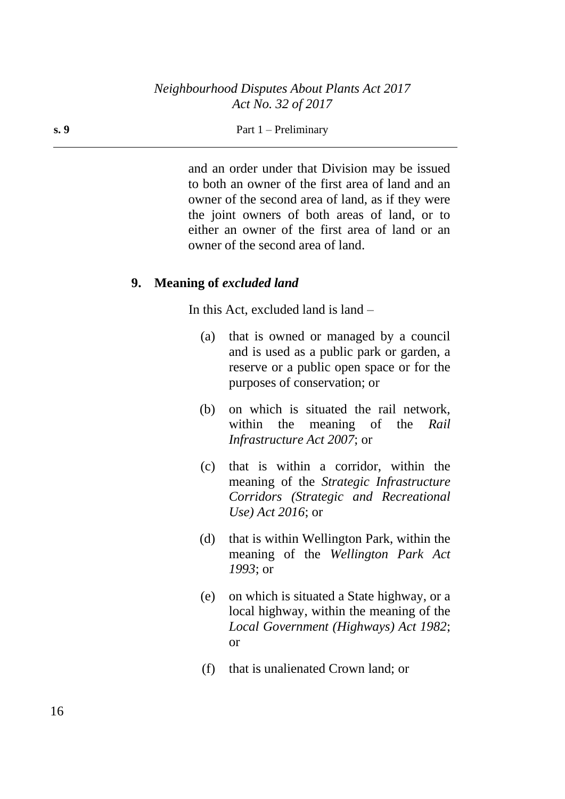#### **s. 9** Part 1 – Preliminary

and an order under that Division may be issued to both an owner of the first area of land and an owner of the second area of land, as if they were the joint owners of both areas of land, or to either an owner of the first area of land or an owner of the second area of land.

### **9. Meaning of** *excluded land*

In this Act, excluded land is land –

- (a) that is owned or managed by a council and is used as a public park or garden, a reserve or a public open space or for the purposes of conservation; or
- (b) on which is situated the rail network, within the meaning of the *Rail Infrastructure Act 2007*; or
- (c) that is within a corridor, within the meaning of the *Strategic Infrastructure Corridors (Strategic and Recreational Use) Act 2016*; or
- (d) that is within Wellington Park, within the meaning of the *Wellington Park Act 1993*; or
- (e) on which is situated a State highway, or a local highway, within the meaning of the *Local Government (Highways) Act 1982*; or
- (f) that is unalienated Crown land; or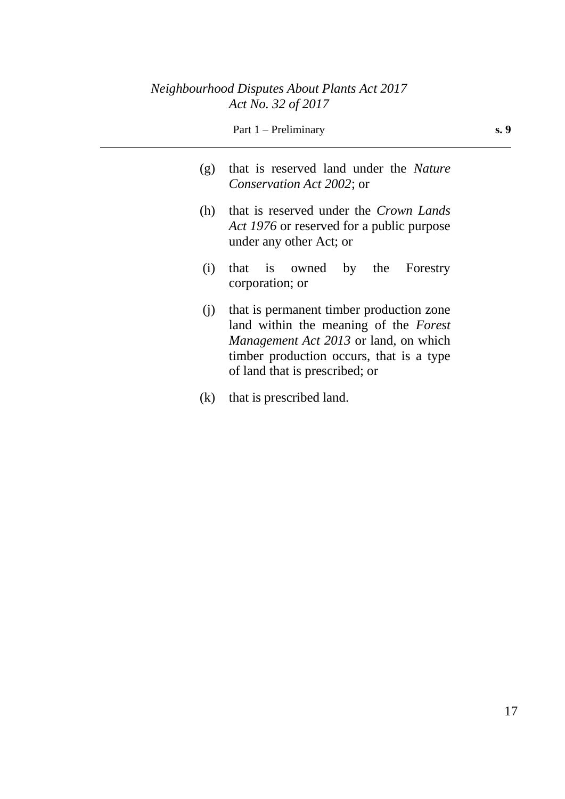|     | Part $1$ – Preliminary                                                                                                                                                                                          | s. 9 |  |  |  |  |
|-----|-----------------------------------------------------------------------------------------------------------------------------------------------------------------------------------------------------------------|------|--|--|--|--|
| (g) | that is reserved land under the <i>Nature</i><br><i>Conservation Act 2002; or</i>                                                                                                                               |      |  |  |  |  |
| (h) | that is reserved under the <i>Crown Lands</i><br>Act 1976 or reserved for a public purpose<br>under any other Act; or                                                                                           |      |  |  |  |  |
| (i) | that is owned by the Forestry<br>corporation; or                                                                                                                                                                |      |  |  |  |  |
| (i) | that is permanent timber production zone<br>land within the meaning of the Forest<br><i>Management Act 2013</i> or land, on which<br>timber production occurs, that is a type<br>of land that is prescribed; or |      |  |  |  |  |

(k) that is prescribed land.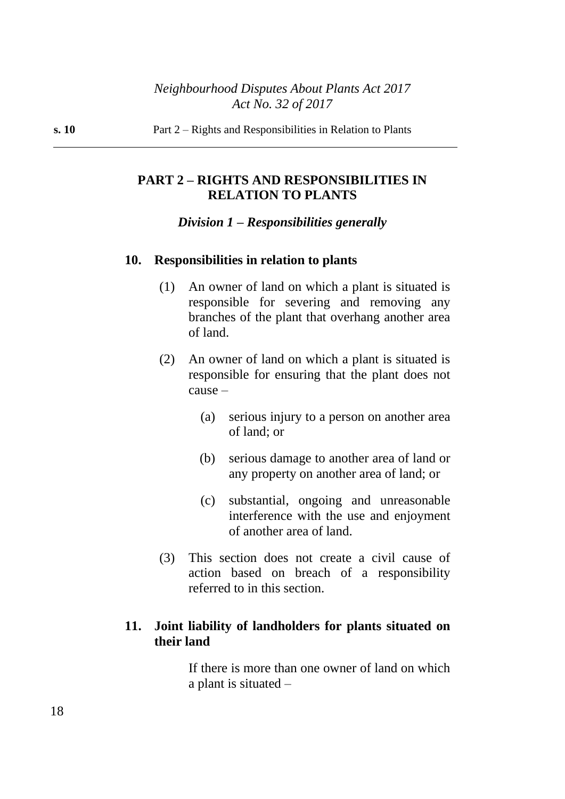## **PART 2 – RIGHTS AND RESPONSIBILITIES IN RELATION TO PLANTS**

### *Division 1 – Responsibilities generally*

#### **10. Responsibilities in relation to plants**

- (1) An owner of land on which a plant is situated is responsible for severing and removing any branches of the plant that overhang another area of land.
- (2) An owner of land on which a plant is situated is responsible for ensuring that the plant does not cause –
	- (a) serious injury to a person on another area of land; or
	- (b) serious damage to another area of land or any property on another area of land; or
	- (c) substantial, ongoing and unreasonable interference with the use and enjoyment of another area of land.
- (3) This section does not create a civil cause of action based on breach of a responsibility referred to in this section.

## **11. Joint liability of landholders for plants situated on their land**

If there is more than one owner of land on which a plant is situated –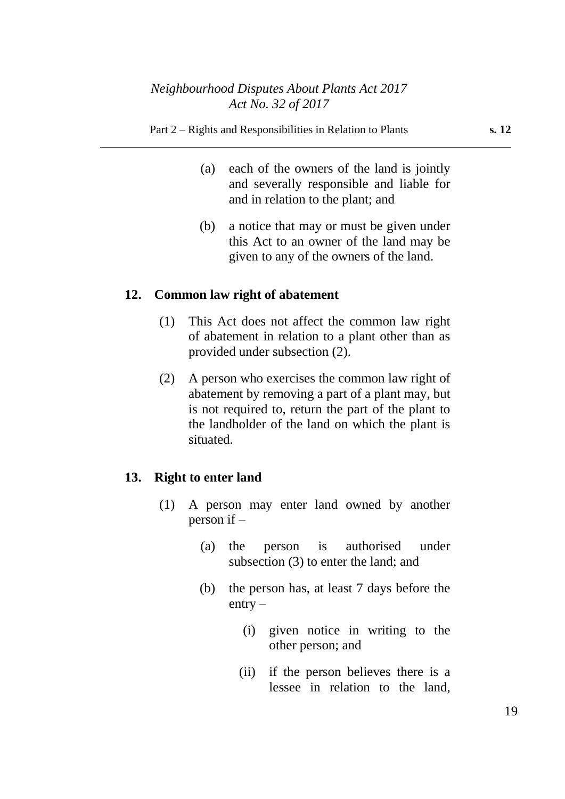- (a) each of the owners of the land is jointly and severally responsible and liable for and in relation to the plant; and
- (b) a notice that may or must be given under this Act to an owner of the land may be given to any of the owners of the land.

## **12. Common law right of abatement**

- (1) This Act does not affect the common law right of abatement in relation to a plant other than as provided under subsection (2).
- (2) A person who exercises the common law right of abatement by removing a part of a plant may, but is not required to, return the part of the plant to the landholder of the land on which the plant is situated.

## **13. Right to enter land**

- (1) A person may enter land owned by another person if –
	- (a) the person is authorised under subsection (3) to enter the land; and
	- (b) the person has, at least 7 days before the  $entry -$ 
		- (i) given notice in writing to the other person; and
		- (ii) if the person believes there is a lessee in relation to the land,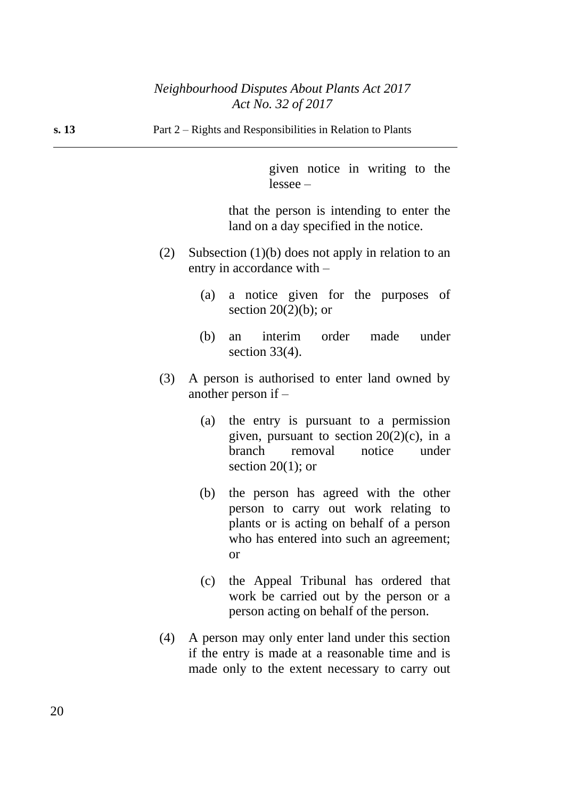**s. 13** Part 2 – Rights and Responsibilities in Relation to Plants

given notice in writing to the lessee –

that the person is intending to enter the land on a day specified in the notice.

- (2) Subsection (1)(b) does not apply in relation to an entry in accordance with –
	- (a) a notice given for the purposes of section  $20(2)(b)$ ; or
	- (b) an interim order made under section 33(4).
- (3) A person is authorised to enter land owned by another person if –
	- (a) the entry is pursuant to a permission given, pursuant to section  $20(2)(c)$ , in a branch removal notice under section  $20(1)$ ; or
	- (b) the person has agreed with the other person to carry out work relating to plants or is acting on behalf of a person who has entered into such an agreement; or
	- (c) the Appeal Tribunal has ordered that work be carried out by the person or a person acting on behalf of the person.
- (4) A person may only enter land under this section if the entry is made at a reasonable time and is made only to the extent necessary to carry out

20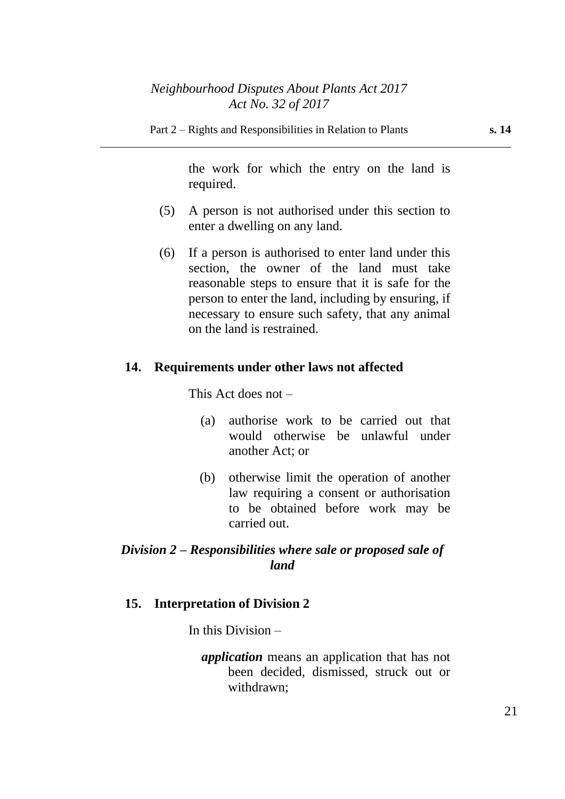Part 2 – Rights and Responsibilities in Relation to Plants **s. 14**

the work for which the entry on the land is required.

- (5) A person is not authorised under this section to enter a dwelling on any land.
- (6) If a person is authorised to enter land under this section, the owner of the land must take reasonable steps to ensure that it is safe for the person to enter the land, including by ensuring, if necessary to ensure such safety, that any animal on the land is restrained.

### **14. Requirements under other laws not affected**

This Act does not –

- (a) authorise work to be carried out that would otherwise be unlawful under another Act; or
- (b) otherwise limit the operation of another law requiring a consent or authorisation to be obtained before work may be carried out.

## *Division 2 – Responsibilities where sale or proposed sale of land*

### **15. Interpretation of Division 2**

In this Division –

*application* means an application that has not been decided, dismissed, struck out or withdrawn;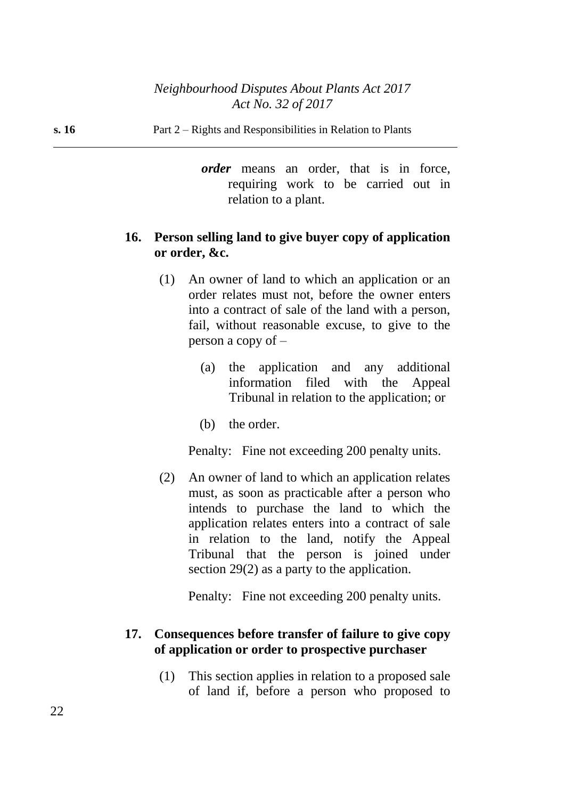**s. 16** Part 2 – Rights and Responsibilities in Relation to Plants

*order* means an order, that is in force, requiring work to be carried out in relation to a plant.

## **16. Person selling land to give buyer copy of application or order, &c.**

- (1) An owner of land to which an application or an order relates must not, before the owner enters into a contract of sale of the land with a person, fail, without reasonable excuse, to give to the person a copy of –
	- (a) the application and any additional information filed with the Appeal Tribunal in relation to the application; or
	- (b) the order.

Penalty: Fine not exceeding 200 penalty units.

(2) An owner of land to which an application relates must, as soon as practicable after a person who intends to purchase the land to which the application relates enters into a contract of sale in relation to the land, notify the Appeal Tribunal that the person is joined under section 29(2) as a party to the application.

Penalty: Fine not exceeding 200 penalty units.

## **17. Consequences before transfer of failure to give copy of application or order to prospective purchaser**

(1) This section applies in relation to a proposed sale of land if, before a person who proposed to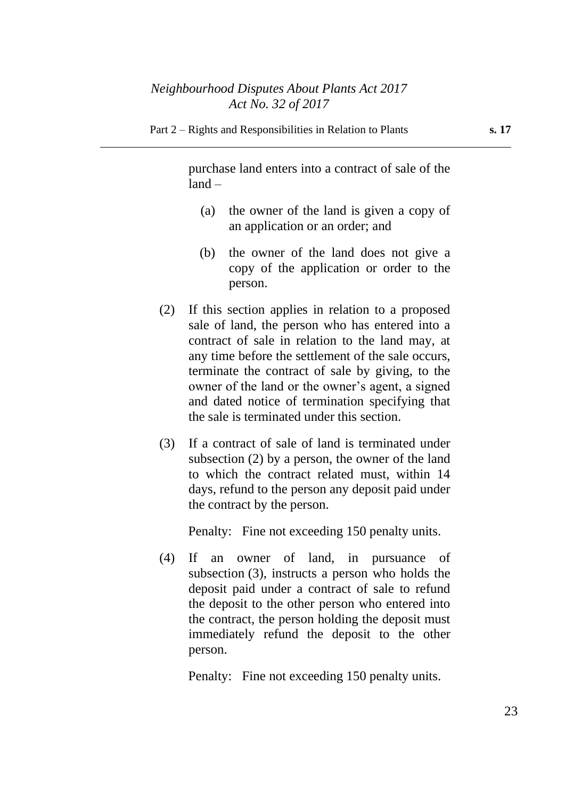#### Part 2 – Rights and Responsibilities in Relation to Plants **s. 17**

purchase land enters into a contract of sale of the land –

- (a) the owner of the land is given a copy of an application or an order; and
- (b) the owner of the land does not give a copy of the application or order to the person.
- (2) If this section applies in relation to a proposed sale of land, the person who has entered into a contract of sale in relation to the land may, at any time before the settlement of the sale occurs, terminate the contract of sale by giving, to the owner of the land or the owner's agent, a signed and dated notice of termination specifying that the sale is terminated under this section.
- (3) If a contract of sale of land is terminated under subsection (2) by a person, the owner of the land to which the contract related must, within 14 days, refund to the person any deposit paid under the contract by the person.

Penalty: Fine not exceeding 150 penalty units.

(4) If an owner of land, in pursuance of subsection (3), instructs a person who holds the deposit paid under a contract of sale to refund the deposit to the other person who entered into the contract, the person holding the deposit must immediately refund the deposit to the other person.

Penalty: Fine not exceeding 150 penalty units.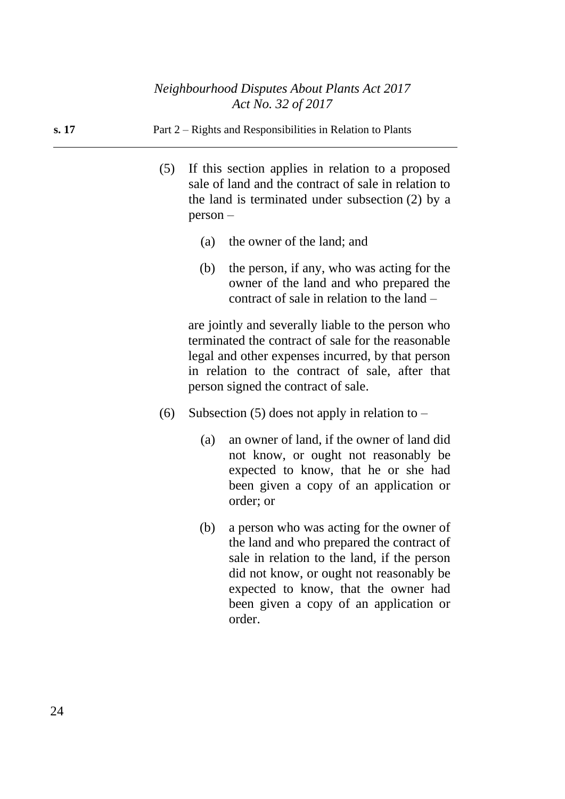- (5) If this section applies in relation to a proposed sale of land and the contract of sale in relation to the land is terminated under subsection (2) by a person –
	- (a) the owner of the land; and
	- (b) the person, if any, who was acting for the owner of the land and who prepared the contract of sale in relation to the land –

are jointly and severally liable to the person who terminated the contract of sale for the reasonable legal and other expenses incurred, by that person in relation to the contract of sale, after that person signed the contract of sale.

- (6) Subsection (5) does not apply in relation to  $-$ 
	- (a) an owner of land, if the owner of land did not know, or ought not reasonably be expected to know, that he or she had been given a copy of an application or order; or
	- (b) a person who was acting for the owner of the land and who prepared the contract of sale in relation to the land, if the person did not know, or ought not reasonably be expected to know, that the owner had been given a copy of an application or order.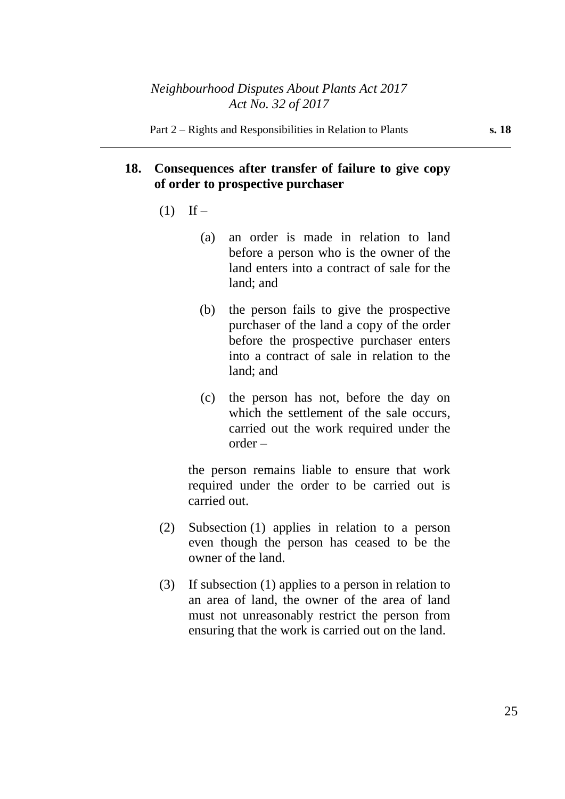## **18. Consequences after transfer of failure to give copy of order to prospective purchaser**

- $(1)$  If
	- (a) an order is made in relation to land before a person who is the owner of the land enters into a contract of sale for the land; and
	- (b) the person fails to give the prospective purchaser of the land a copy of the order before the prospective purchaser enters into a contract of sale in relation to the land; and
	- (c) the person has not, before the day on which the settlement of the sale occurs, carried out the work required under the order –

the person remains liable to ensure that work required under the order to be carried out is carried out.

- (2) Subsection (1) applies in relation to a person even though the person has ceased to be the owner of the land.
- (3) If subsection (1) applies to a person in relation to an area of land, the owner of the area of land must not unreasonably restrict the person from ensuring that the work is carried out on the land.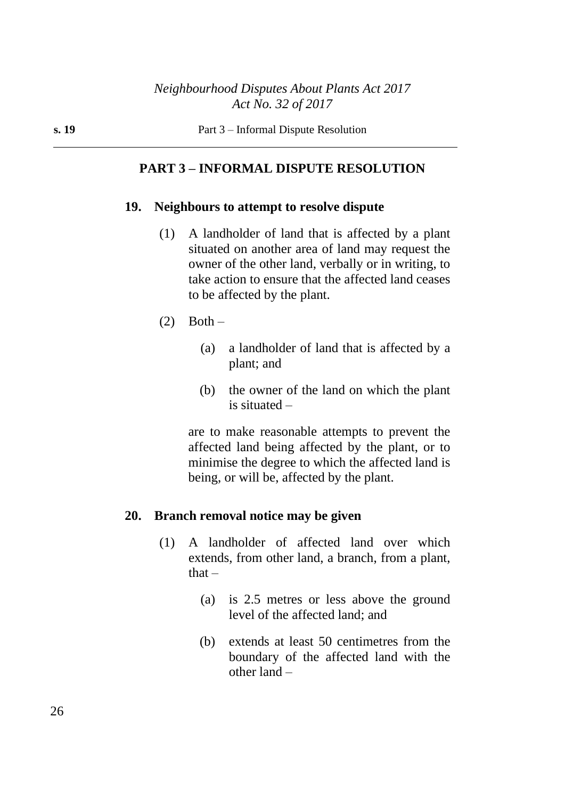### **PART 3 – INFORMAL DISPUTE RESOLUTION**

### **19. Neighbours to attempt to resolve dispute**

- (1) A landholder of land that is affected by a plant situated on another area of land may request the owner of the other land, verbally or in writing, to take action to ensure that the affected land ceases to be affected by the plant.
- $(2)$  Both
	- (a) a landholder of land that is affected by a plant; and
	- (b) the owner of the land on which the plant is situated –

are to make reasonable attempts to prevent the affected land being affected by the plant, or to minimise the degree to which the affected land is being, or will be, affected by the plant.

### **20. Branch removal notice may be given**

- (1) A landholder of affected land over which extends, from other land, a branch, from a plant,  $that -$ 
	- (a) is 2.5 metres or less above the ground level of the affected land; and
	- (b) extends at least 50 centimetres from the boundary of the affected land with the other land –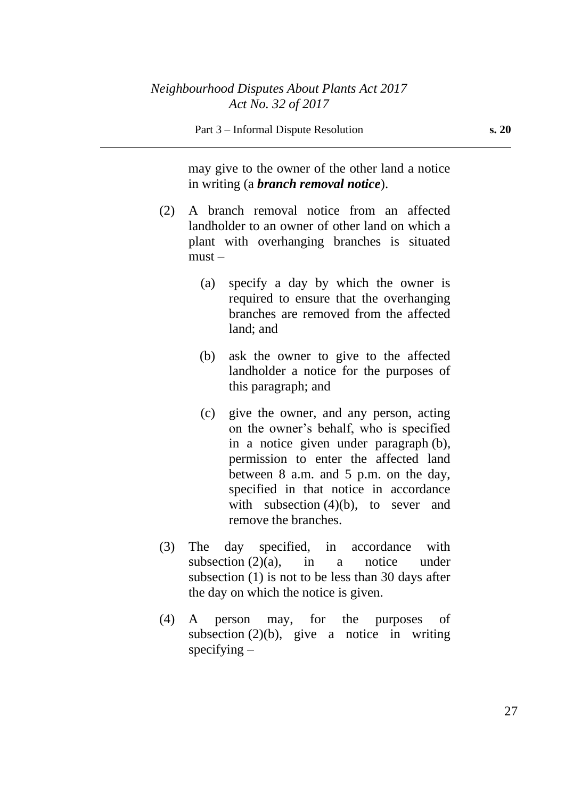may give to the owner of the other land a notice in writing (a *branch removal notice*).

- (2) A branch removal notice from an affected landholder to an owner of other land on which a plant with overhanging branches is situated  $must -$ 
	- (a) specify a day by which the owner is required to ensure that the overhanging branches are removed from the affected land; and
	- (b) ask the owner to give to the affected landholder a notice for the purposes of this paragraph; and
	- (c) give the owner, and any person, acting on the owner's behalf, who is specified in a notice given under paragraph (b), permission to enter the affected land between 8 a.m. and 5 p.m. on the day, specified in that notice in accordance with subsection (4)(b), to sever and remove the branches.
- (3) The day specified, in accordance with subsection  $(2)(a)$ , in a notice under subsection (1) is not to be less than 30 days after the day on which the notice is given.
- (4) A person may, for the purposes of subsection  $(2)(b)$ , give a notice in writing specifying  $-$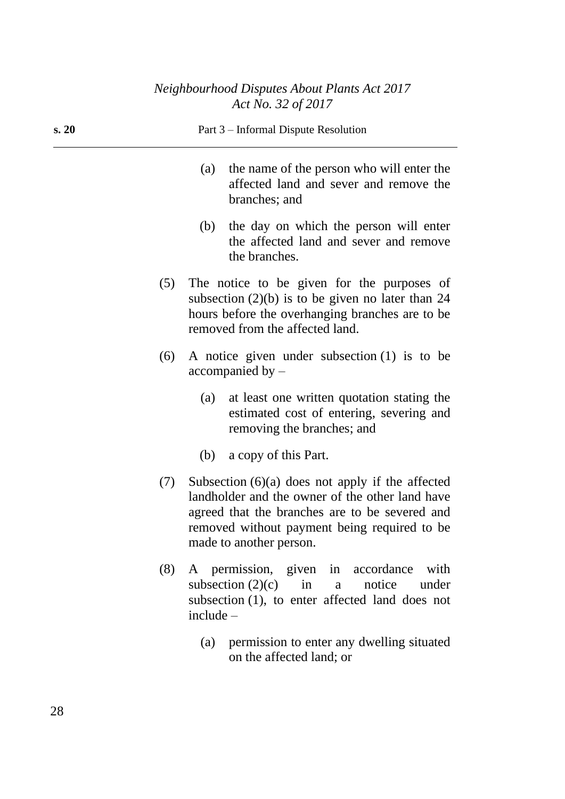| s. 20 |     | Part 3 – Informal Dispute Resolution                                                                                                                                                                                               |
|-------|-----|------------------------------------------------------------------------------------------------------------------------------------------------------------------------------------------------------------------------------------|
|       |     | the name of the person who will enter the<br>(a)<br>affected land and sever and remove the<br>branches; and                                                                                                                        |
|       |     | the day on which the person will enter<br>(b)<br>the affected land and sever and remove<br>the branches.                                                                                                                           |
|       | (5) | The notice to be given for the purposes of<br>subsection $(2)(b)$ is to be given no later than 24<br>hours before the overhanging branches are to be<br>removed from the affected land.                                            |
|       | (6) | A notice given under subsection $(1)$ is to be<br>accompanied by –                                                                                                                                                                 |
|       |     | at least one written quotation stating the<br>(a)<br>estimated cost of entering, severing and<br>removing the branches; and                                                                                                        |
|       |     | a copy of this Part.<br>(b)                                                                                                                                                                                                        |
|       | (7) | Subsection $(6)(a)$ does not apply if the affected<br>landholder and the owner of the other land have<br>agreed that the branches are to be severed and<br>removed without payment being required to be<br>made to another person. |
|       | (8) | A permission, given in accordance<br>with<br>subsection $(2)(c)$ in a<br>notice under<br>subsection (1), to enter affected land does not<br>$include -$                                                                            |
|       |     | permission to enter any dwelling situated<br>(a)<br>on the affected land; or                                                                                                                                                       |
|       |     |                                                                                                                                                                                                                                    |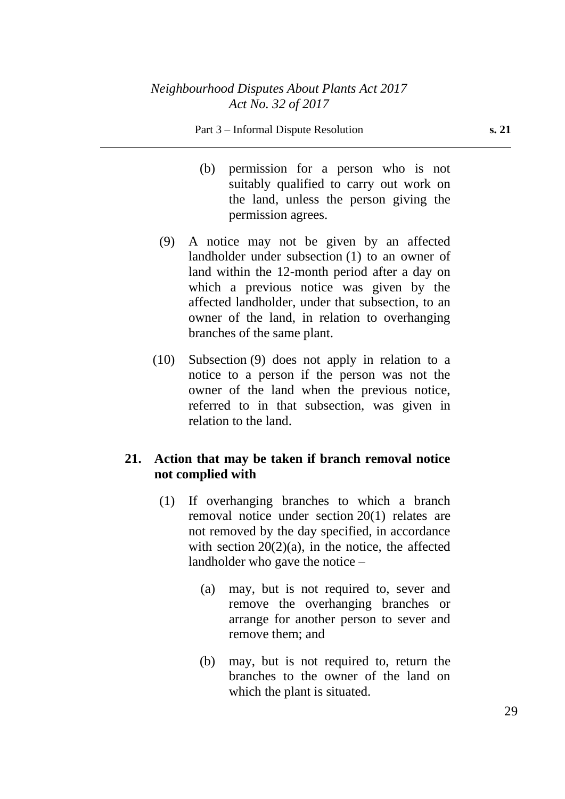- (b) permission for a person who is not suitably qualified to carry out work on the land, unless the person giving the permission agrees.
- (9) A notice may not be given by an affected landholder under subsection (1) to an owner of land within the 12-month period after a day on which a previous notice was given by the affected landholder, under that subsection, to an owner of the land, in relation to overhanging branches of the same plant.
- (10) Subsection (9) does not apply in relation to a notice to a person if the person was not the owner of the land when the previous notice, referred to in that subsection, was given in relation to the land.

## **21. Action that may be taken if branch removal notice not complied with**

- (1) If overhanging branches to which a branch removal notice under section 20(1) relates are not removed by the day specified, in accordance with section  $20(2)(a)$ , in the notice, the affected landholder who gave the notice –
	- (a) may, but is not required to, sever and remove the overhanging branches or arrange for another person to sever and remove them; and
	- (b) may, but is not required to, return the branches to the owner of the land on which the plant is situated.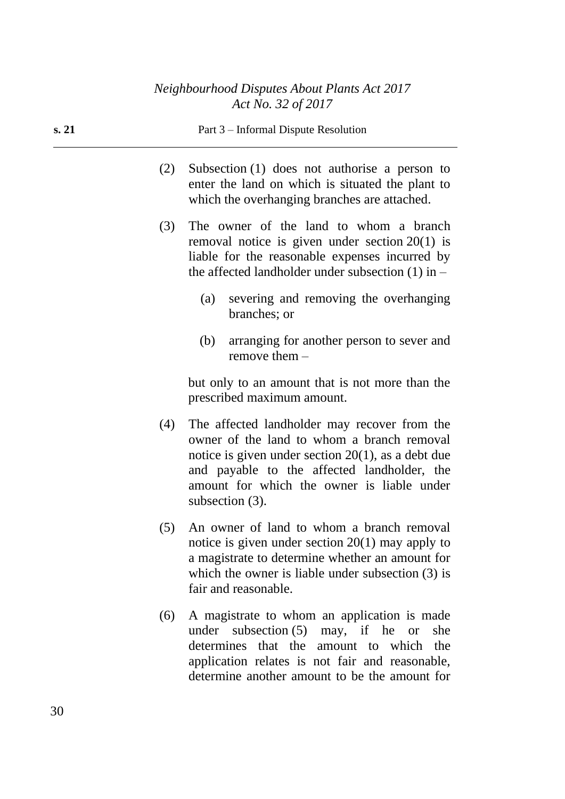| s. 21 |     | Part 3 – Informal Dispute Resolution                                                                                                                                                                                                                                   |  |  |  |
|-------|-----|------------------------------------------------------------------------------------------------------------------------------------------------------------------------------------------------------------------------------------------------------------------------|--|--|--|
|       | (2) | Subsection $(1)$ does not authorise a person to<br>enter the land on which is situated the plant to<br>which the overhanging branches are attached.                                                                                                                    |  |  |  |
|       | (3) | The owner of the land to whom a branch<br>removal notice is given under section $20(1)$ is<br>liable for the reasonable expenses incurred by<br>the affected landholder under subsection $(1)$ in –                                                                    |  |  |  |
|       |     | severing and removing the overhanging<br>(a)<br>branches; or                                                                                                                                                                                                           |  |  |  |
|       |     | arranging for another person to sever and<br>(b)<br>remove them $-$                                                                                                                                                                                                    |  |  |  |
|       |     | but only to an amount that is not more than the<br>prescribed maximum amount.                                                                                                                                                                                          |  |  |  |
|       | (4) | The affected landholder may recover from the<br>owner of the land to whom a branch removal<br>notice is given under section $20(1)$ , as a debt due<br>and payable to the affected landholder, the<br>amount for which the owner is liable under<br>subsection $(3)$ . |  |  |  |
|       | (5) | An owner of land to whom a branch removal<br>notice is given under section $20(1)$ may apply to<br>a magistrate to determine whether an amount for<br>which the owner is liable under subsection $(3)$ is<br>fair and reasonable.                                      |  |  |  |
|       | (6) | A magistrate to whom an application is made<br>subsection $(5)$ may, if he<br>under<br>she<br><b>or</b>                                                                                                                                                                |  |  |  |

determines that the amount to which the application relates is not fair and reasonable, determine another amount to be the amount for

30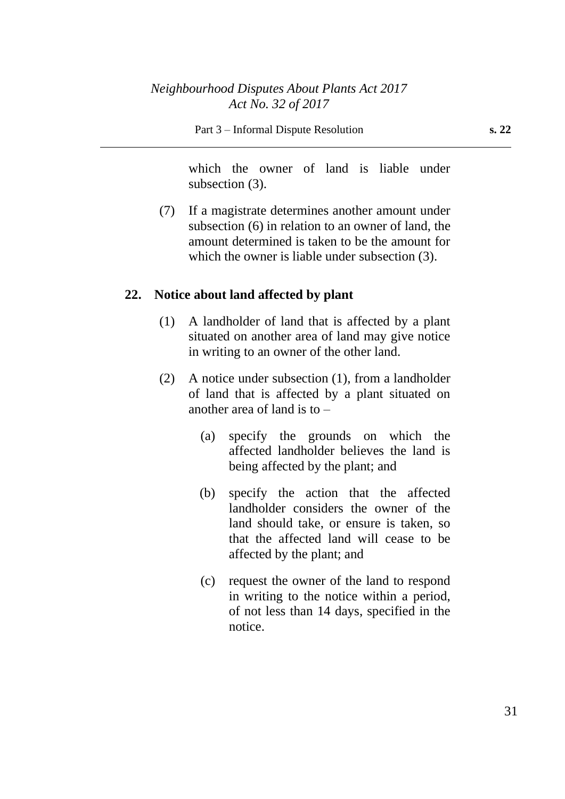which the owner of land is liable under subsection (3).

(7) If a magistrate determines another amount under subsection (6) in relation to an owner of land, the amount determined is taken to be the amount for which the owner is liable under subsection (3).

## **22. Notice about land affected by plant**

- (1) A landholder of land that is affected by a plant situated on another area of land may give notice in writing to an owner of the other land.
- (2) A notice under subsection (1), from a landholder of land that is affected by a plant situated on another area of land is to –
	- (a) specify the grounds on which the affected landholder believes the land is being affected by the plant; and
	- (b) specify the action that the affected landholder considers the owner of the land should take, or ensure is taken, so that the affected land will cease to be affected by the plant; and
	- (c) request the owner of the land to respond in writing to the notice within a period, of not less than 14 days, specified in the notice.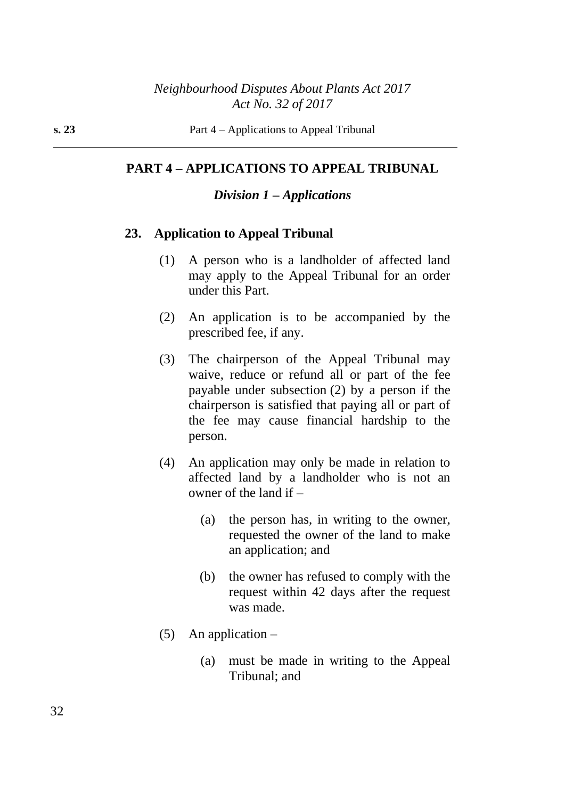### **PART 4 – APPLICATIONS TO APPEAL TRIBUNAL**

### *Division 1 – Applications*

### **23. Application to Appeal Tribunal**

- (1) A person who is a landholder of affected land may apply to the Appeal Tribunal for an order under this Part.
- (2) An application is to be accompanied by the prescribed fee, if any.
- (3) The chairperson of the Appeal Tribunal may waive, reduce or refund all or part of the fee payable under subsection (2) by a person if the chairperson is satisfied that paying all or part of the fee may cause financial hardship to the person.
- (4) An application may only be made in relation to affected land by a landholder who is not an owner of the land if –
	- (a) the person has, in writing to the owner, requested the owner of the land to make an application; and
	- (b) the owner has refused to comply with the request within 42 days after the request was made.
- (5) An application  $-$ 
	- (a) must be made in writing to the Appeal Tribunal; and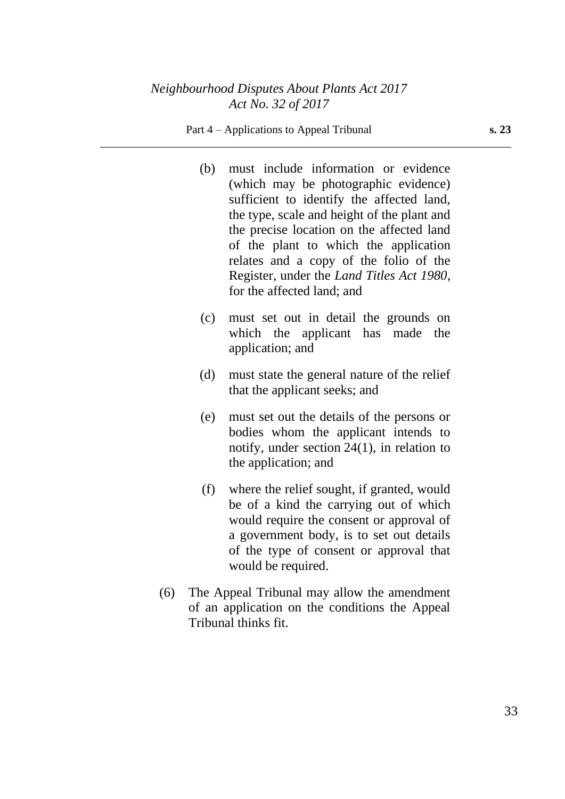- (b) must include information or evidence (which may be photographic evidence) sufficient to identify the affected land, the type, scale and height of the plant and the precise location on the affected land of the plant to which the application relates and a copy of the folio of the Register, under the *Land Titles Act 1980*, for the affected land; and
- (c) must set out in detail the grounds on which the applicant has made the application; and
- (d) must state the general nature of the relief that the applicant seeks; and
- (e) must set out the details of the persons or bodies whom the applicant intends to notify, under section 24(1), in relation to the application; and
- (f) where the relief sought, if granted, would be of a kind the carrying out of which would require the consent or approval of a government body, is to set out details of the type of consent or approval that would be required.
- (6) The Appeal Tribunal may allow the amendment of an application on the conditions the Appeal Tribunal thinks fit.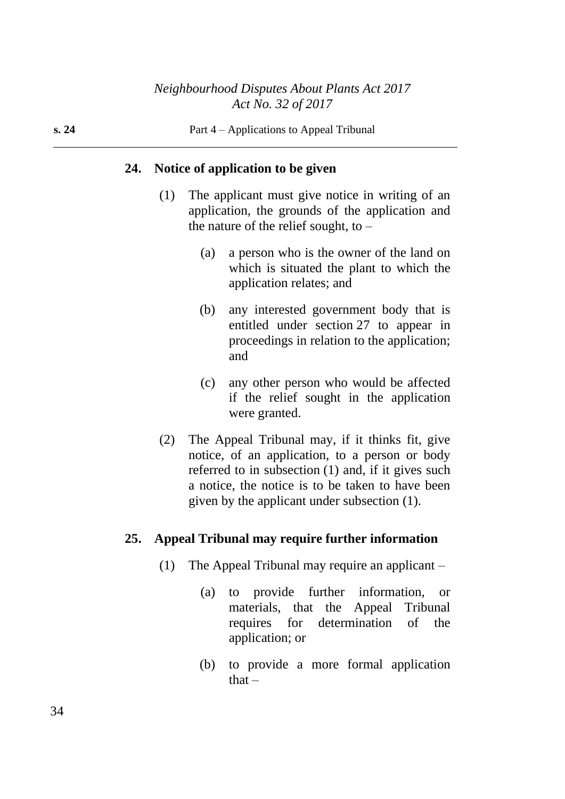### **24. Notice of application to be given**

- (1) The applicant must give notice in writing of an application, the grounds of the application and the nature of the relief sought, to  $-$ 
	- (a) a person who is the owner of the land on which is situated the plant to which the application relates; and
	- (b) any interested government body that is entitled under section 27 to appear in proceedings in relation to the application; and
	- (c) any other person who would be affected if the relief sought in the application were granted.
- (2) The Appeal Tribunal may, if it thinks fit, give notice, of an application, to a person or body referred to in subsection (1) and, if it gives such a notice, the notice is to be taken to have been given by the applicant under subsection (1).

### **25. Appeal Tribunal may require further information**

- (1) The Appeal Tribunal may require an applicant
	- (a) to provide further information, or materials, that the Appeal Tribunal requires for determination of the application; or
	- (b) to provide a more formal application that $-$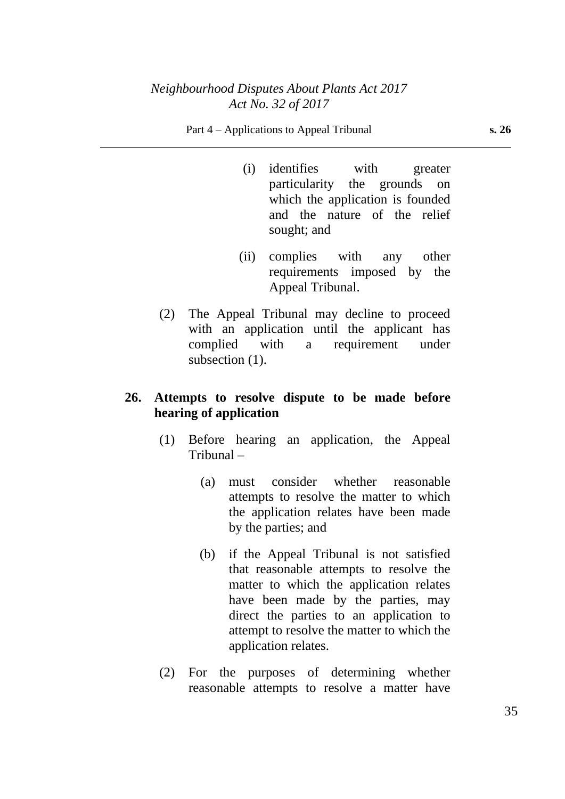#### Part 4 – Applications to Appeal Tribunal **s. 26**

- (i) identifies with greater particularity the grounds on which the application is founded and the nature of the relief sought; and
- (ii) complies with any other requirements imposed by the Appeal Tribunal.
- (2) The Appeal Tribunal may decline to proceed with an application until the applicant has complied with a requirement under subsection  $(1)$ .

## **26. Attempts to resolve dispute to be made before hearing of application**

- (1) Before hearing an application, the Appeal Tribunal –
	- (a) must consider whether reasonable attempts to resolve the matter to which the application relates have been made by the parties; and
	- (b) if the Appeal Tribunal is not satisfied that reasonable attempts to resolve the matter to which the application relates have been made by the parties, may direct the parties to an application to attempt to resolve the matter to which the application relates.
- (2) For the purposes of determining whether reasonable attempts to resolve a matter have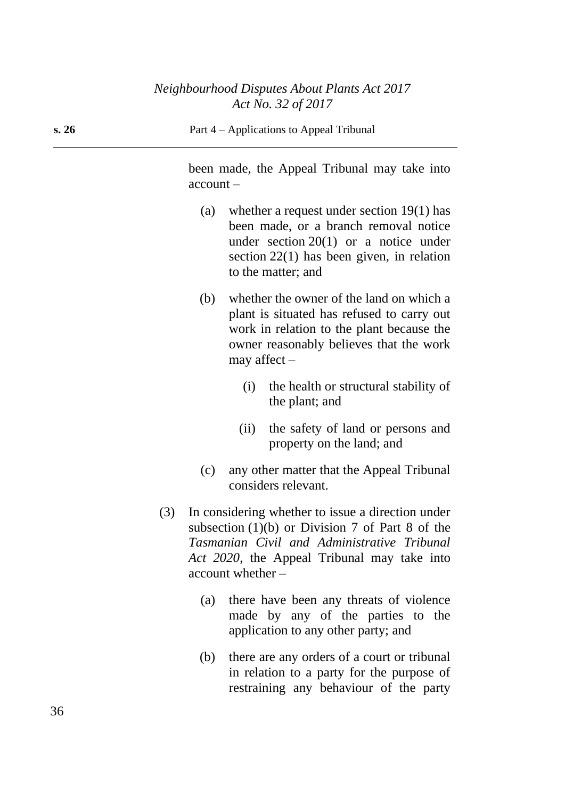been made, the Appeal Tribunal may take into account –

- (a) whether a request under section 19(1) has been made, or a branch removal notice under section 20(1) or a notice under section 22(1) has been given, in relation to the matter; and
- (b) whether the owner of the land on which a plant is situated has refused to carry out work in relation to the plant because the owner reasonably believes that the work may affect –
	- (i) the health or structural stability of the plant; and
	- (ii) the safety of land or persons and property on the land; and
- (c) any other matter that the Appeal Tribunal considers relevant.
- (3) In considering whether to issue a direction under subsection (1)(b) or Division 7 of Part 8 of the *Tasmanian Civil and Administrative Tribunal Act 2020*, the Appeal Tribunal may take into account whether –
	- (a) there have been any threats of violence made by any of the parties to the application to any other party; and
	- (b) there are any orders of a court or tribunal in relation to a party for the purpose of restraining any behaviour of the party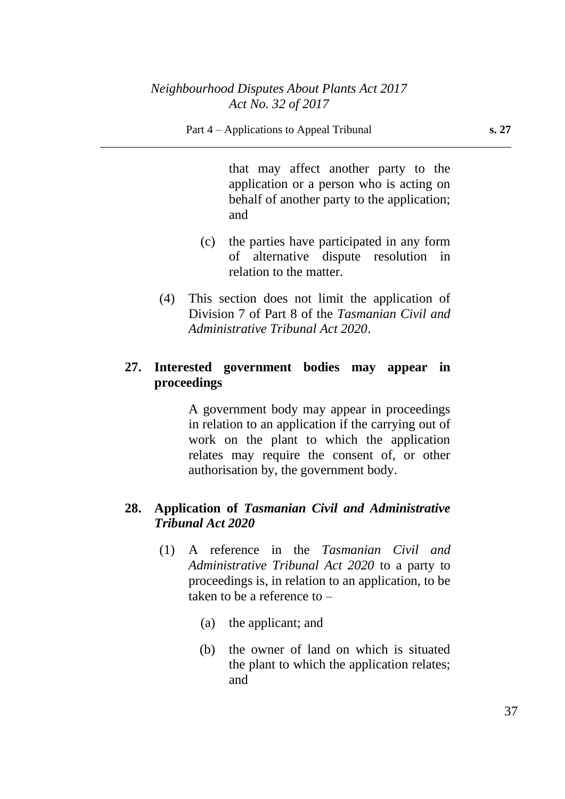that may affect another party to the application or a person who is acting on behalf of another party to the application; and

- (c) the parties have participated in any form of alternative dispute resolution in relation to the matter.
- (4) This section does not limit the application of Division 7 of Part 8 of the *Tasmanian Civil and Administrative Tribunal Act 2020*.

## **27. Interested government bodies may appear in proceedings**

A government body may appear in proceedings in relation to an application if the carrying out of work on the plant to which the application relates may require the consent of, or other authorisation by, the government body.

## **28. Application of** *Tasmanian Civil and Administrative Tribunal Act 2020*

- (1) A reference in the *Tasmanian Civil and Administrative Tribunal Act 2020* to a party to proceedings is, in relation to an application, to be taken to be a reference to –
	- (a) the applicant; and
	- (b) the owner of land on which is situated the plant to which the application relates; and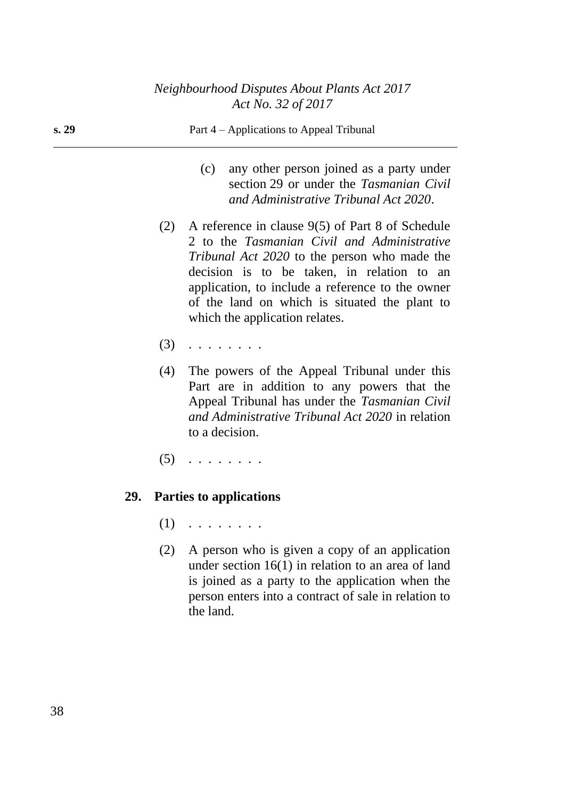| s. 29 | Part 4 – Applications to Appeal Tribunal                                                                                                                                                                                                                                                                                                          |
|-------|---------------------------------------------------------------------------------------------------------------------------------------------------------------------------------------------------------------------------------------------------------------------------------------------------------------------------------------------------|
|       | any other person joined as a party under<br>(c)<br>section 29 or under the Tasmanian Civil<br>and Administrative Tribunal Act 2020.                                                                                                                                                                                                               |
|       | (2) A reference in clause $9(5)$ of Part 8 of Schedule<br>2 to the Tasmanian Civil and Administrative<br><i>Tribunal Act 2020</i> to the person who made the<br>decision is to be taken, in relation to an<br>application, to include a reference to the owner<br>of the land on which is situated the plant to<br>which the application relates. |
| (3)   | .                                                                                                                                                                                                                                                                                                                                                 |
| (4)   | The powers of the Appeal Tribunal under this<br>Part are in addition to any powers that the<br>Appeal Tribunal has under the Tasmanian Civil<br>and Administrative Tribunal Act 2020 in relation<br>to a decision.                                                                                                                                |

 $(5)$   $\ldots$  . . . . . .

# **29. Parties to applications**

- $(1)$   $\ldots$  . . . . . .
- (2) A person who is given a copy of an application under section 16(1) in relation to an area of land is joined as a party to the application when the person enters into a contract of sale in relation to the land.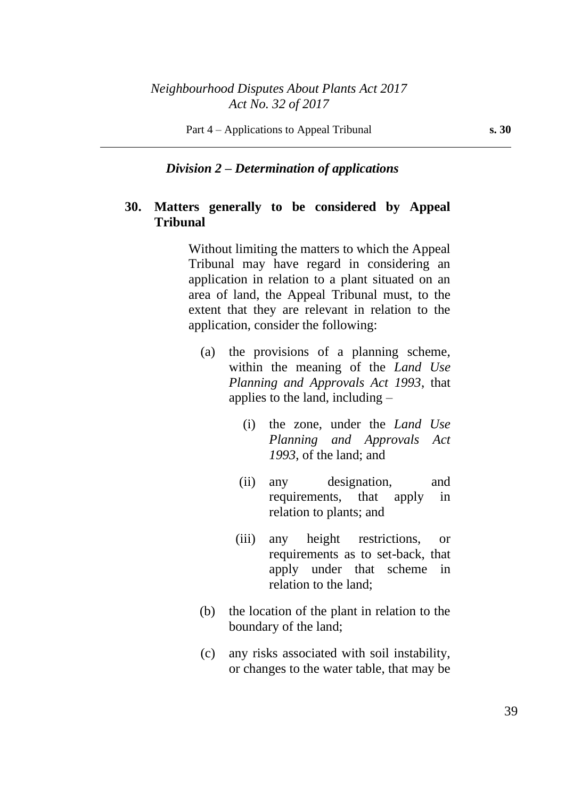### *Division 2 – Determination of applications*

### **30. Matters generally to be considered by Appeal Tribunal**

Without limiting the matters to which the Appeal Tribunal may have regard in considering an application in relation to a plant situated on an area of land, the Appeal Tribunal must, to the extent that they are relevant in relation to the application, consider the following:

- (a) the provisions of a planning scheme, within the meaning of the *Land Use Planning and Approvals Act 1993*, that applies to the land, including –
	- (i) the zone, under the *Land Use Planning and Approvals Act 1993*, of the land; and
	- (ii) any designation, and requirements, that apply in relation to plants; and
	- (iii) any height restrictions, or requirements as to set-back, that apply under that scheme in relation to the land;
- (b) the location of the plant in relation to the boundary of the land;
- (c) any risks associated with soil instability, or changes to the water table, that may be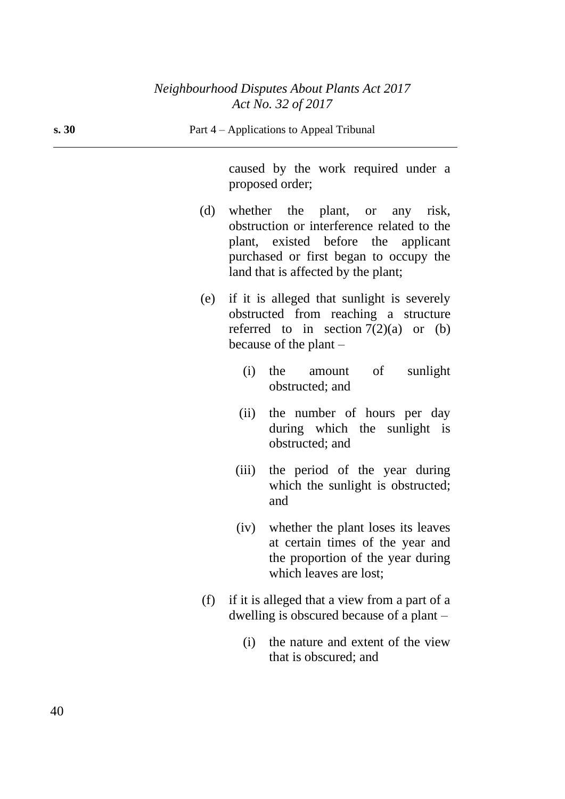| s.30 |     |       | Part 4 – Applications to Appeal Tribunal                                                                                                                                                              |
|------|-----|-------|-------------------------------------------------------------------------------------------------------------------------------------------------------------------------------------------------------|
|      |     |       | caused by the work required under a<br>proposed order;                                                                                                                                                |
|      | (d) |       | whether the plant, or any risk,<br>obstruction or interference related to the<br>plant, existed before the applicant<br>purchased or first began to occupy the<br>land that is affected by the plant; |
|      | (e) |       | if it is alleged that sunlight is severely<br>obstructed from reaching a structure<br>referred to in section $7(2)(a)$ or (b)<br>because of the plant $-$                                             |
|      |     | (i)   | amount of<br>sunlight<br>the<br>obstructed; and                                                                                                                                                       |
|      |     | (ii)  | the number of hours per day<br>during which the sunlight is<br>obstructed; and                                                                                                                        |
|      |     | (iii) | the period of the year during<br>which the sunlight is obstructed;<br>and                                                                                                                             |
|      |     |       | (iv) whether the plant loses its leaves<br>at certain times of the year and<br>the proportion of the year during<br>which leaves are lost;                                                            |
|      | (f) |       | if it is alleged that a view from a part of a<br>dwelling is obscured because of a plant $-$                                                                                                          |
|      |     | (i)   | the nature and extent of the view<br>that is obscured; and                                                                                                                                            |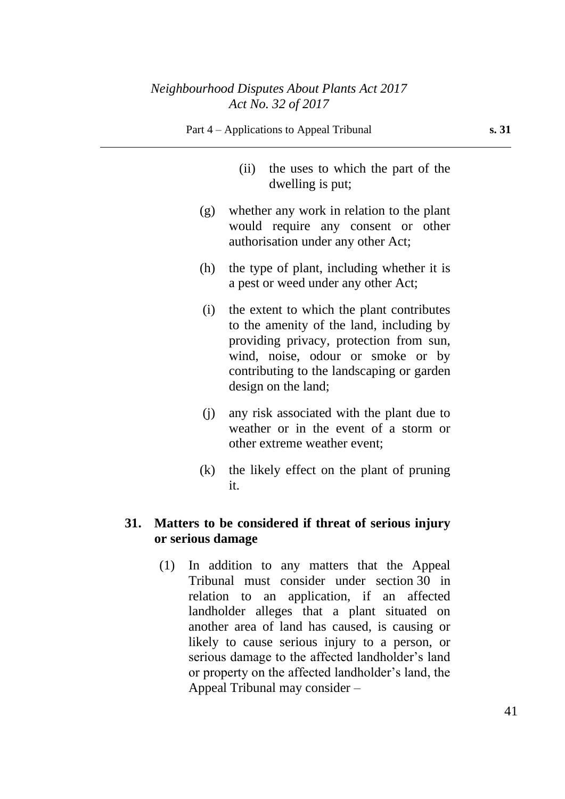- (ii) the uses to which the part of the dwelling is put;
- (g) whether any work in relation to the plant would require any consent or other authorisation under any other Act;
- (h) the type of plant, including whether it is a pest or weed under any other Act;
- (i) the extent to which the plant contributes to the amenity of the land, including by providing privacy, protection from sun, wind, noise, odour or smoke or by contributing to the landscaping or garden design on the land;
- (j) any risk associated with the plant due to weather or in the event of a storm or other extreme weather event;
- (k) the likely effect on the plant of pruning it.

## **31. Matters to be considered if threat of serious injury or serious damage**

(1) In addition to any matters that the Appeal Tribunal must consider under section 30 in relation to an application, if an affected landholder alleges that a plant situated on another area of land has caused, is causing or likely to cause serious injury to a person, or serious damage to the affected landholder's land or property on the affected landholder's land, the Appeal Tribunal may consider –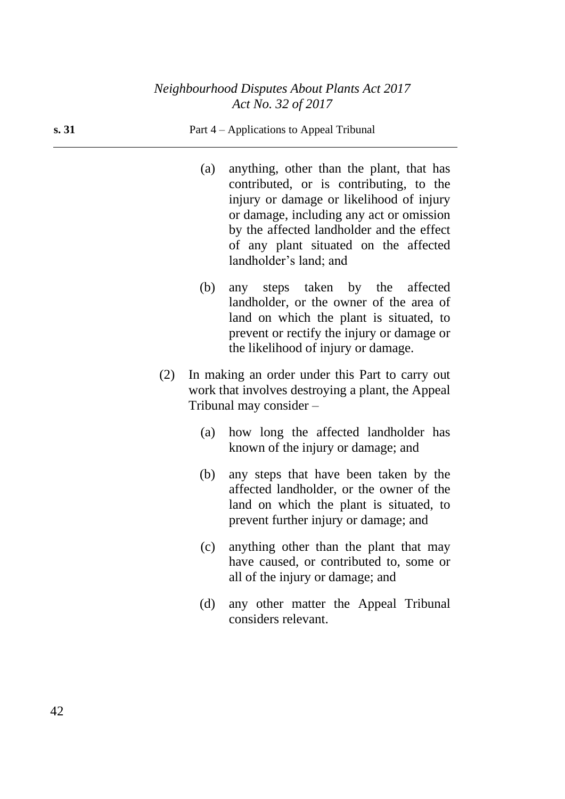|     | (a) | anything, other than the plant, that has<br>contributed, or is contributing, to the<br>injury or damage or likelihood of injury<br>or damage, including any act or omission<br>by the affected landholder and the effect<br>of any plant situated on the affected<br>landholder's land; and |
|-----|-----|---------------------------------------------------------------------------------------------------------------------------------------------------------------------------------------------------------------------------------------------------------------------------------------------|
|     | (b) | any steps taken by the affected<br>landholder, or the owner of the area of<br>land on which the plant is situated, to<br>prevent or rectify the injury or damage or<br>the likelihood of injury or damage.                                                                                  |
| (2) |     | In making an order under this Part to carry out<br>work that involves destroying a plant, the Appeal<br>Tribunal may consider -                                                                                                                                                             |
|     | (a) | how long the affected landholder has<br>known of the injury or damage; and                                                                                                                                                                                                                  |
|     | (b) | any steps that have been taken by the<br>affected landholder, or the owner of the<br>land on which the plant is situated, to<br>prevent further injury or damage; and                                                                                                                       |
|     | (c) | anything other than the plant that may<br>have caused, or contributed to, some or<br>all of the injury or damage; and                                                                                                                                                                       |
|     | (d) | any other matter the Appeal Tribunal<br>considers relevant.                                                                                                                                                                                                                                 |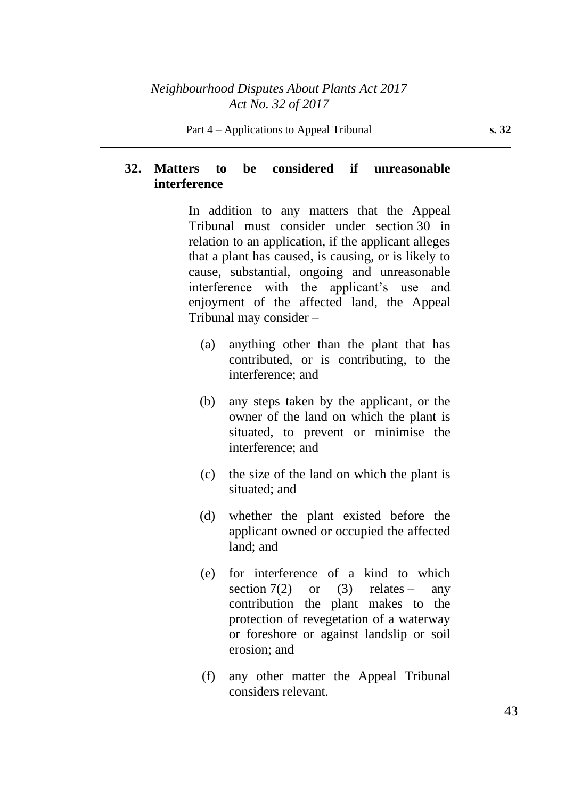## **32. Matters to be considered if unreasonable interference**

In addition to any matters that the Appeal Tribunal must consider under section 30 in relation to an application, if the applicant alleges that a plant has caused, is causing, or is likely to cause, substantial, ongoing and unreasonable interference with the applicant's use and enjoyment of the affected land, the Appeal Tribunal may consider –

- (a) anything other than the plant that has contributed, or is contributing, to the interference; and
- (b) any steps taken by the applicant, or the owner of the land on which the plant is situated, to prevent or minimise the interference; and
- (c) the size of the land on which the plant is situated; and
- (d) whether the plant existed before the applicant owned or occupied the affected land; and
- (e) for interference of a kind to which section  $7(2)$  or  $(3)$  relates – any contribution the plant makes to the protection of revegetation of a waterway or foreshore or against landslip or soil erosion; and
- (f) any other matter the Appeal Tribunal considers relevant.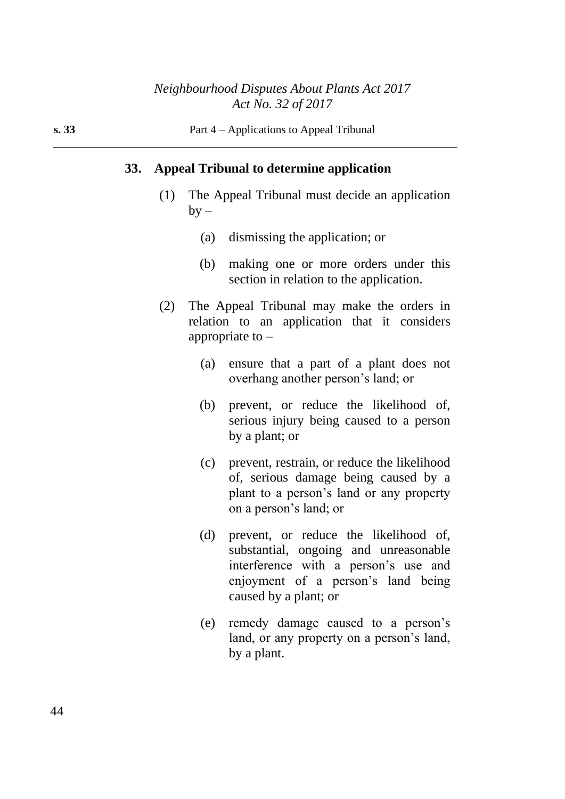### **33. Appeal Tribunal to determine application**

- (1) The Appeal Tribunal must decide an application  $by -$ 
	- (a) dismissing the application; or
	- (b) making one or more orders under this section in relation to the application.
- (2) The Appeal Tribunal may make the orders in relation to an application that it considers appropriate to  $-$ 
	- (a) ensure that a part of a plant does not overhang another person's land; or
	- (b) prevent, or reduce the likelihood of, serious injury being caused to a person by a plant; or
	- (c) prevent, restrain, or reduce the likelihood of, serious damage being caused by a plant to a person's land or any property on a person's land; or
	- (d) prevent, or reduce the likelihood of, substantial, ongoing and unreasonable interference with a person's use and enjoyment of a person's land being caused by a plant; or
	- (e) remedy damage caused to a person's land, or any property on a person's land, by a plant.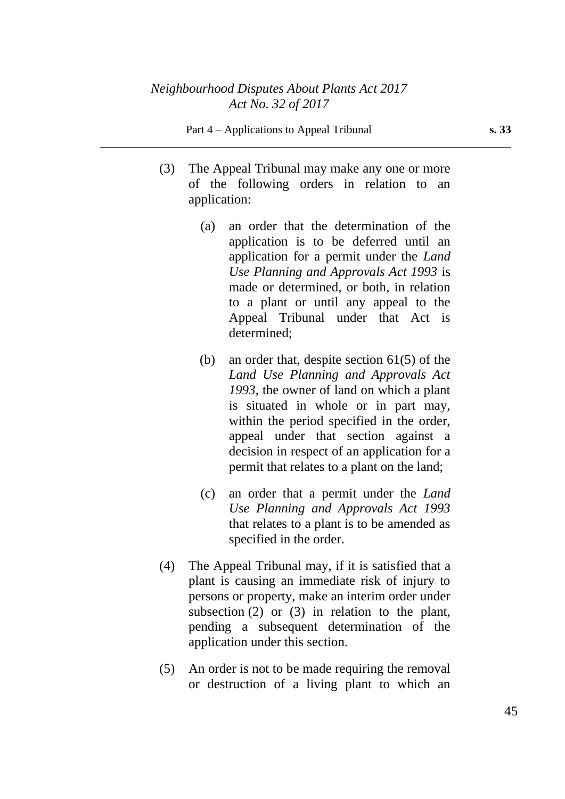- (3) The Appeal Tribunal may make any one or more of the following orders in relation to an application:
	- (a) an order that the determination of the application is to be deferred until an application for a permit under the *Land Use Planning and Approvals Act 1993* is made or determined, or both, in relation to a plant or until any appeal to the Appeal Tribunal under that Act is determined;
	- (b) an order that, despite section  $61(5)$  of the *Land Use Planning and Approvals Act 1993*, the owner of land on which a plant is situated in whole or in part may, within the period specified in the order, appeal under that section against a decision in respect of an application for a permit that relates to a plant on the land;
	- (c) an order that a permit under the *Land Use Planning and Approvals Act 1993* that relates to a plant is to be amended as specified in the order.
- (4) The Appeal Tribunal may, if it is satisfied that a plant is causing an immediate risk of injury to persons or property, make an interim order under subsection (2) or (3) in relation to the plant, pending a subsequent determination of the application under this section.
- (5) An order is not to be made requiring the removal or destruction of a living plant to which an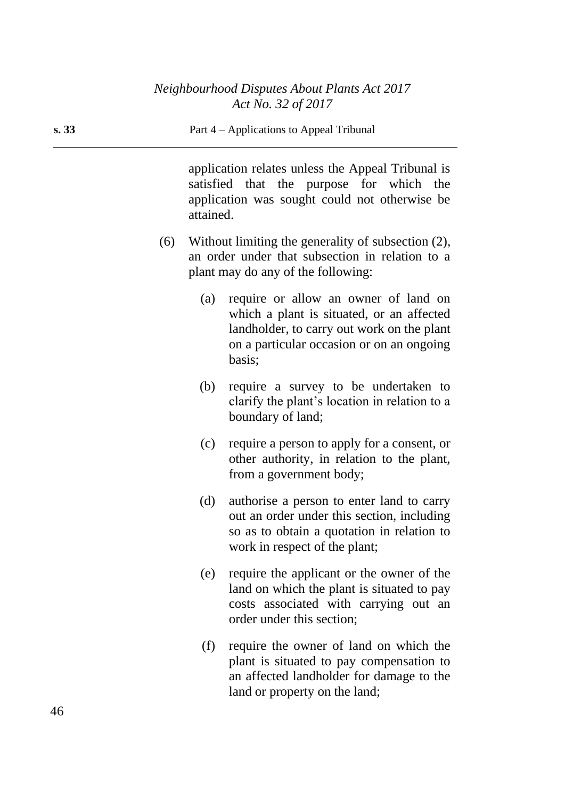application relates unless the Appeal Tribunal is satisfied that the purpose for which the application was sought could not otherwise be attained.

- (6) Without limiting the generality of subsection (2), an order under that subsection in relation to a plant may do any of the following:
	- (a) require or allow an owner of land on which a plant is situated, or an affected landholder, to carry out work on the plant on a particular occasion or on an ongoing basis;
	- (b) require a survey to be undertaken to clarify the plant's location in relation to a boundary of land;
	- (c) require a person to apply for a consent, or other authority, in relation to the plant, from a government body;
	- (d) authorise a person to enter land to carry out an order under this section, including so as to obtain a quotation in relation to work in respect of the plant;
	- (e) require the applicant or the owner of the land on which the plant is situated to pay costs associated with carrying out an order under this section;
	- (f) require the owner of land on which the plant is situated to pay compensation to an affected landholder for damage to the land or property on the land;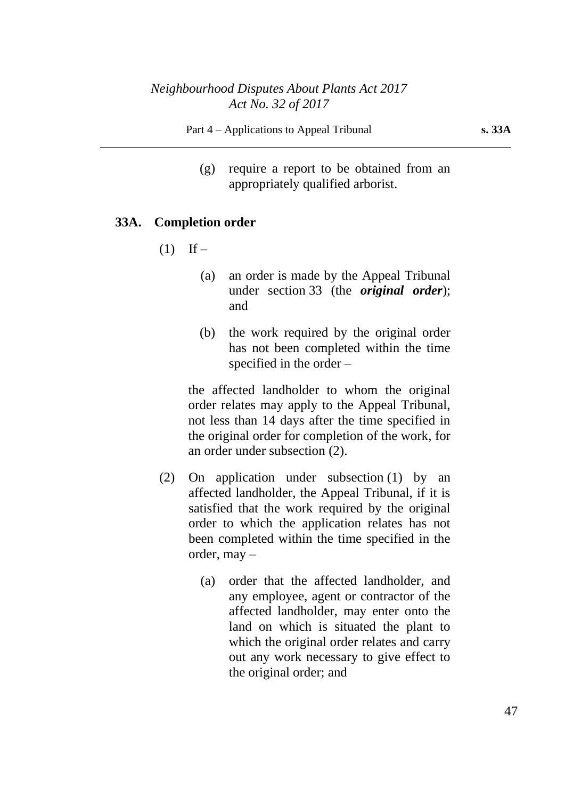(g) require a report to be obtained from an appropriately qualified arborist.

#### **33A. Completion order**

- $(1)$  If
	- (a) an order is made by the Appeal Tribunal under section 33 (the *original order*); and
	- (b) the work required by the original order has not been completed within the time specified in the order –

the affected landholder to whom the original order relates may apply to the Appeal Tribunal, not less than 14 days after the time specified in the original order for completion of the work, for an order under subsection (2).

- (2) On application under subsection (1) by an affected landholder, the Appeal Tribunal, if it is satisfied that the work required by the original order to which the application relates has not been completed within the time specified in the order, may –
	- (a) order that the affected landholder, and any employee, agent or contractor of the affected landholder, may enter onto the land on which is situated the plant to which the original order relates and carry out any work necessary to give effect to the original order; and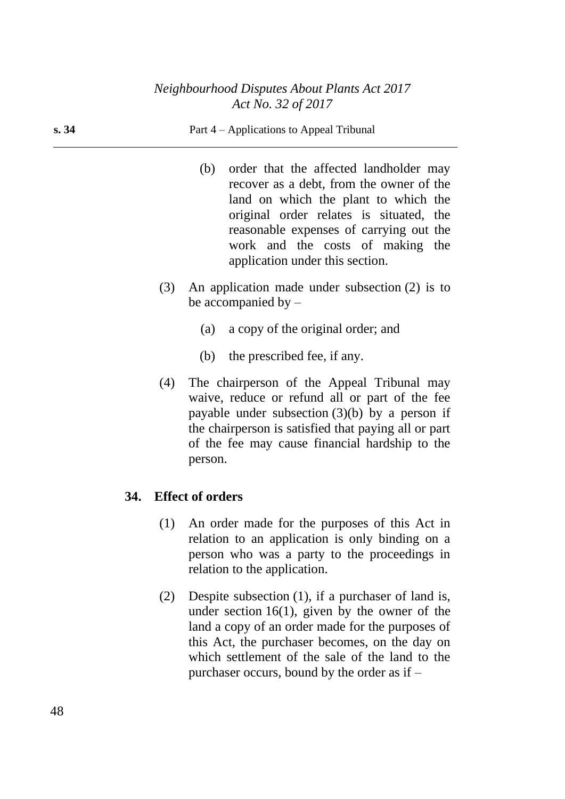| s. 34 |     | Part 4 – Applications to Appeal Tribunal                                                                                                                                                                                                                                                       |
|-------|-----|------------------------------------------------------------------------------------------------------------------------------------------------------------------------------------------------------------------------------------------------------------------------------------------------|
|       |     | order that the affected landholder may<br>(b)<br>recover as a debt, from the owner of the<br>land on which the plant to which the<br>original order relates is situated, the<br>reasonable expenses of carrying out the<br>work and the costs of making the<br>application under this section. |
|       | (3) | An application made under subsection $(2)$ is to<br>be accompanied by $-$                                                                                                                                                                                                                      |
|       |     | a copy of the original order; and<br>(a)                                                                                                                                                                                                                                                       |
|       |     | the prescribed fee, if any.<br>(b)                                                                                                                                                                                                                                                             |
|       | (4) | The chairperson of the Appeal Tribunal may<br>waive, reduce or refund all or part of the fee                                                                                                                                                                                                   |

waive, reduce or refund all or part of the fee payable under subsection (3)(b) by a person if the chairperson is satisfied that paying all or part of the fee may cause financial hardship to the person.

## **34. Effect of orders**

- (1) An order made for the purposes of this Act in relation to an application is only binding on a person who was a party to the proceedings in relation to the application.
- (2) Despite subsection (1), if a purchaser of land is, under section  $16(1)$ , given by the owner of the land a copy of an order made for the purposes of this Act, the purchaser becomes, on the day on which settlement of the sale of the land to the purchaser occurs, bound by the order as if –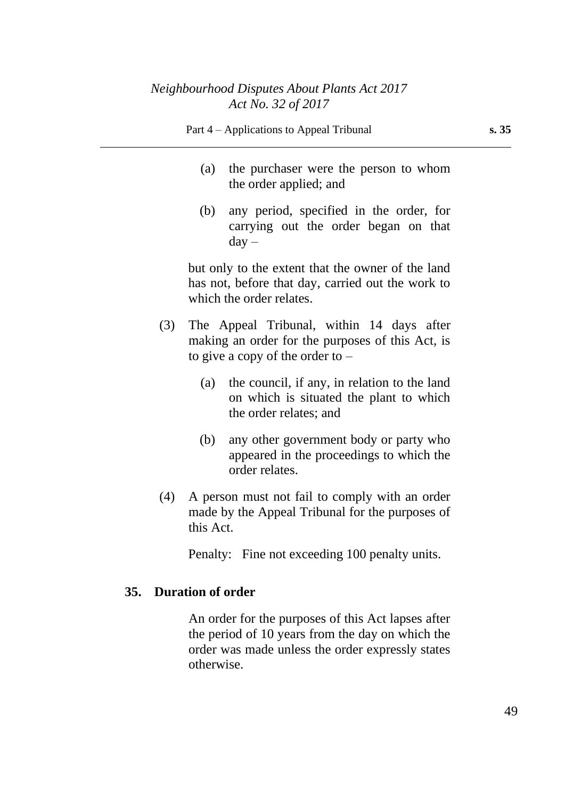- (a) the purchaser were the person to whom the order applied; and
- (b) any period, specified in the order, for carrying out the order began on that  $day -$

but only to the extent that the owner of the land has not, before that day, carried out the work to which the order relates.

- (3) The Appeal Tribunal, within 14 days after making an order for the purposes of this Act, is to give a copy of the order to  $-$ 
	- (a) the council, if any, in relation to the land on which is situated the plant to which the order relates; and
	- (b) any other government body or party who appeared in the proceedings to which the order relates.
- (4) A person must not fail to comply with an order made by the Appeal Tribunal for the purposes of this Act.

Penalty: Fine not exceeding 100 penalty units.

### **35. Duration of order**

An order for the purposes of this Act lapses after the period of 10 years from the day on which the order was made unless the order expressly states otherwise.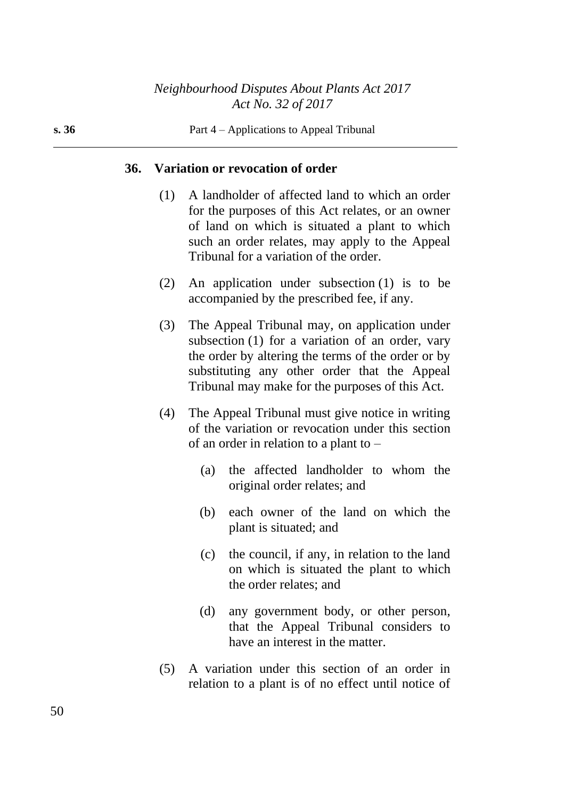#### **36. Variation or revocation of order**

- (1) A landholder of affected land to which an order for the purposes of this Act relates, or an owner of land on which is situated a plant to which such an order relates, may apply to the Appeal Tribunal for a variation of the order.
- (2) An application under subsection (1) is to be accompanied by the prescribed fee, if any.
- (3) The Appeal Tribunal may, on application under subsection (1) for a variation of an order, vary the order by altering the terms of the order or by substituting any other order that the Appeal Tribunal may make for the purposes of this Act.
- (4) The Appeal Tribunal must give notice in writing of the variation or revocation under this section of an order in relation to a plant to –
	- (a) the affected landholder to whom the original order relates; and
	- (b) each owner of the land on which the plant is situated; and
	- (c) the council, if any, in relation to the land on which is situated the plant to which the order relates; and
	- (d) any government body, or other person, that the Appeal Tribunal considers to have an interest in the matter.
- (5) A variation under this section of an order in relation to a plant is of no effect until notice of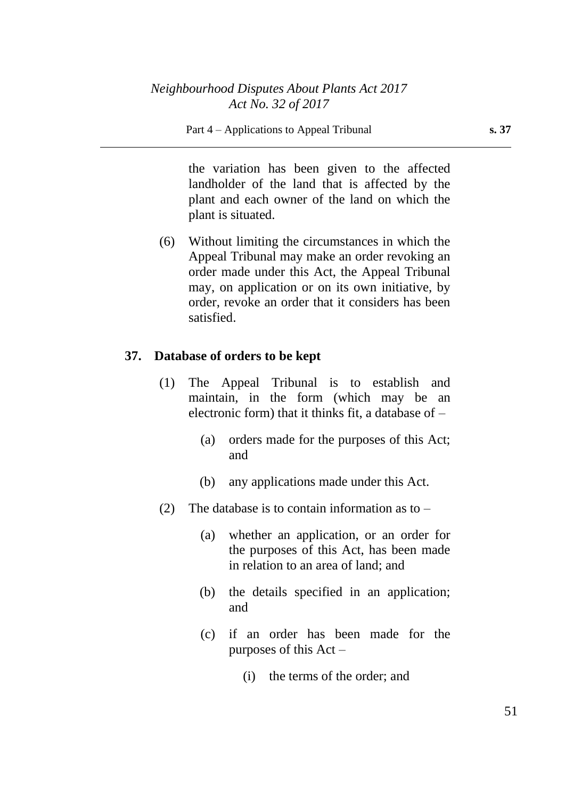the variation has been given to the affected landholder of the land that is affected by the plant and each owner of the land on which the plant is situated.

(6) Without limiting the circumstances in which the Appeal Tribunal may make an order revoking an order made under this Act, the Appeal Tribunal may, on application or on its own initiative, by order, revoke an order that it considers has been satisfied.

## **37. Database of orders to be kept**

- (1) The Appeal Tribunal is to establish and maintain, in the form (which may be an electronic form) that it thinks fit, a database of  $-$ 
	- (a) orders made for the purposes of this Act; and
	- (b) any applications made under this Act.
- (2) The database is to contain information as to  $-$ 
	- (a) whether an application, or an order for the purposes of this Act, has been made in relation to an area of land; and
	- (b) the details specified in an application; and
	- (c) if an order has been made for the purposes of this Act –
		- (i) the terms of the order; and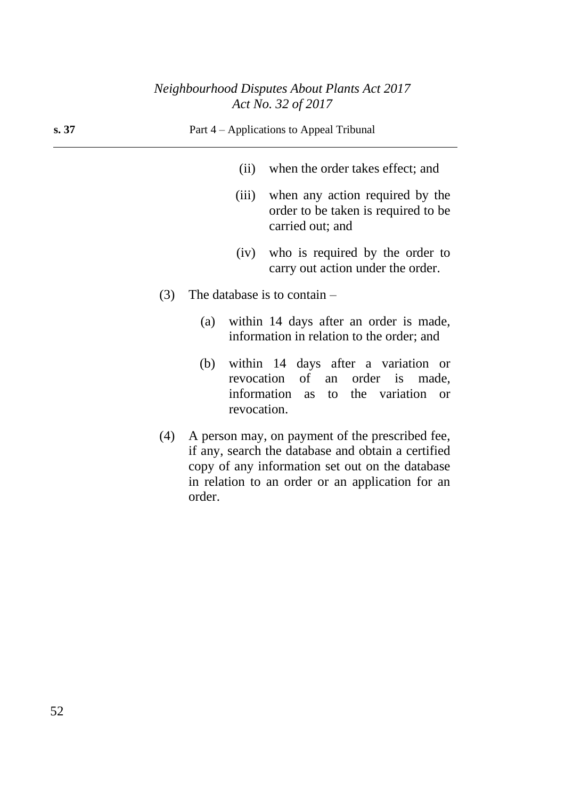| s.37 |     | Part 4 – Applications to Appeal Tribunal                                            |             |                                                                                                                                                                                                              |
|------|-----|-------------------------------------------------------------------------------------|-------------|--------------------------------------------------------------------------------------------------------------------------------------------------------------------------------------------------------------|
|      |     |                                                                                     | (ii)        | when the order takes effect; and                                                                                                                                                                             |
|      |     |                                                                                     | (iii)       | when any action required by the<br>order to be taken is required to be<br>carried out; and                                                                                                                   |
|      |     |                                                                                     | (iv)        | who is required by the order to<br>carry out action under the order.                                                                                                                                         |
|      | (3) | The database is to contain $-$                                                      |             |                                                                                                                                                                                                              |
|      | (a) | within 14 days after an order is made,<br>information in relation to the order; and |             |                                                                                                                                                                                                              |
|      |     | (b)                                                                                 | revocation. | within 14 days after a variation or<br>revocation of<br>order is<br>an<br>made,<br>information as to the variation<br><b>or</b>                                                                              |
|      | (4) | order.                                                                              |             | A person may, on payment of the prescribed fee,<br>if any, search the database and obtain a certified<br>copy of any information set out on the database<br>in relation to an order or an application for an |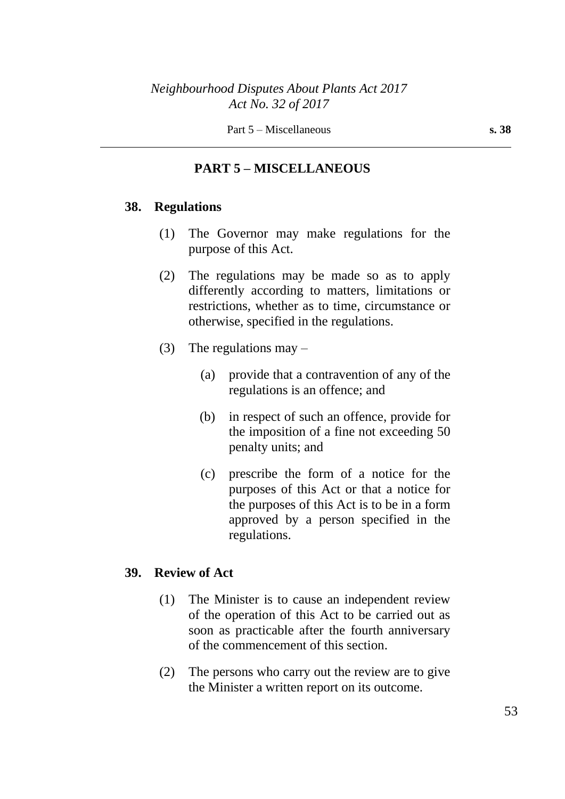## **PART 5 – MISCELLANEOUS**

### **38. Regulations**

- (1) The Governor may make regulations for the purpose of this Act.
- (2) The regulations may be made so as to apply differently according to matters, limitations or restrictions, whether as to time, circumstance or otherwise, specified in the regulations.
- (3) The regulations may  $-$ 
	- (a) provide that a contravention of any of the regulations is an offence; and
	- (b) in respect of such an offence, provide for the imposition of a fine not exceeding 50 penalty units; and
	- (c) prescribe the form of a notice for the purposes of this Act or that a notice for the purposes of this Act is to be in a form approved by a person specified in the regulations.

### **39. Review of Act**

- (1) The Minister is to cause an independent review of the operation of this Act to be carried out as soon as practicable after the fourth anniversary of the commencement of this section.
- (2) The persons who carry out the review are to give the Minister a written report on its outcome.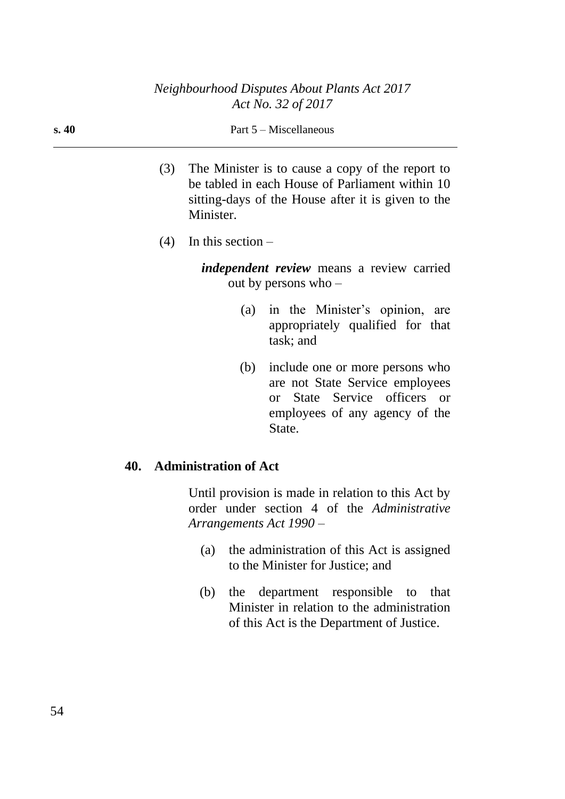#### Part 5 – Miscellaneous

- (3) The Minister is to cause a copy of the report to be tabled in each House of Parliament within 10 sitting-days of the House after it is given to the Minister.
- $(4)$  In this section –

*independent review* means a review carried out by persons who –

- (a) in the Minister's opinion, are appropriately qualified for that task; and
- (b) include one or more persons who are not State Service employees or State Service officers or employees of any agency of the State.

### **40. Administration of Act**

Until provision is made in relation to this Act by order under section 4 of the *Administrative Arrangements Act 1990* –

- (a) the administration of this Act is assigned to the Minister for Justice; and
- (b) the department responsible to that Minister in relation to the administration of this Act is the Department of Justice.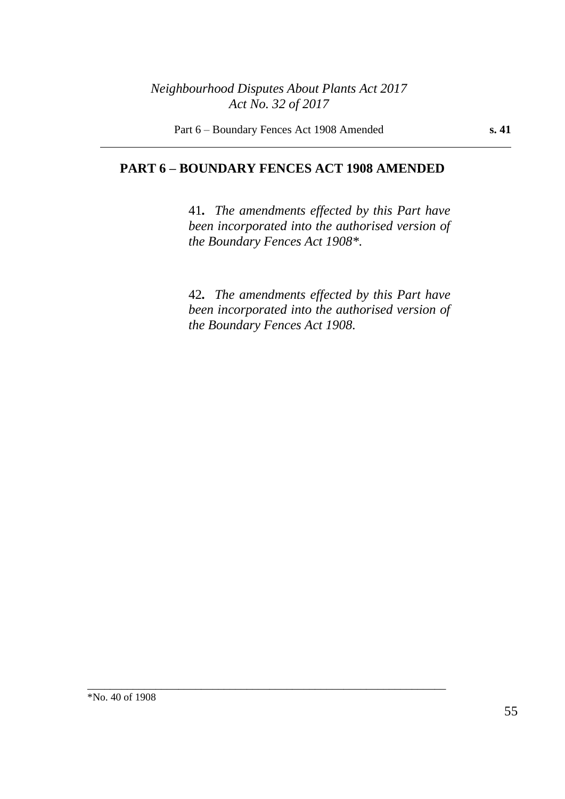Part 6 – Boundary Fences Act 1908 Amended **s. 41**

### **PART 6 – BOUNDARY FENCES ACT 1908 AMENDED**

\_\_\_\_\_\_\_\_\_\_\_\_\_\_\_\_\_\_\_\_\_\_\_\_\_\_\_\_\_\_\_\_\_\_\_\_\_\_\_\_\_\_\_\_\_\_\_\_\_\_\_\_\_\_\_\_\_\_\_\_\_\_\_

41*. The amendments effected by this Part have been incorporated into the authorised version of the Boundary Fences Act 1908\*.*

42*. The amendments effected by this Part have been incorporated into the authorised version of the Boundary Fences Act 1908.*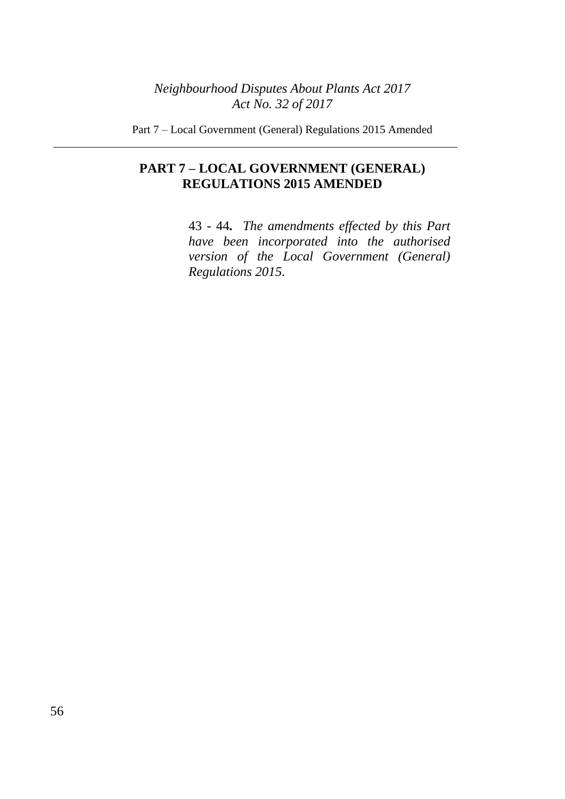Part 7 – Local Government (General) Regulations 2015 Amended

# **PART 7 – LOCAL GOVERNMENT (GENERAL) REGULATIONS 2015 AMENDED**

43 - 44*. The amendments effected by this Part have been incorporated into the authorised version of the Local Government (General) Regulations 2015.*